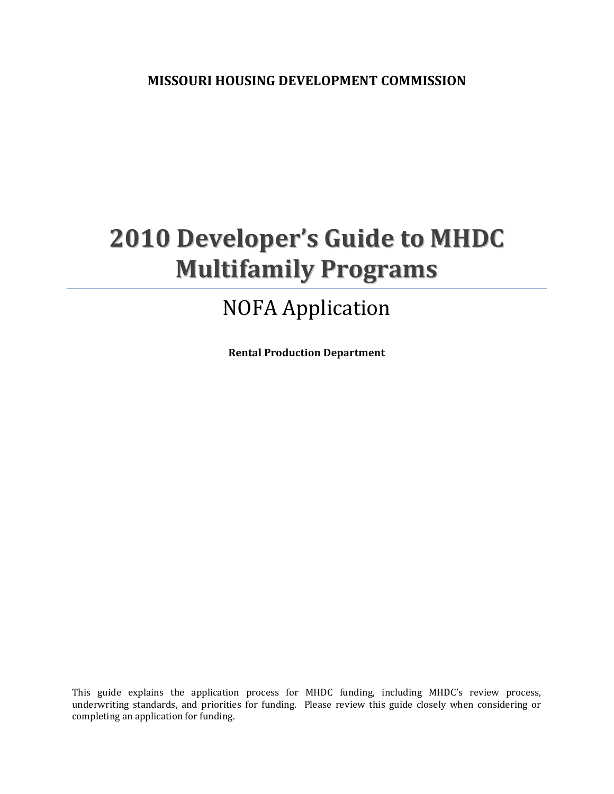**MISSOURI HOUSING DEVELOPMENT COMMISSION**

# **2010 Developer's Guide to MHDC Multifamily Programs**

## NOFA Application

**Rental Production Department**

This guide explains the application process for MHDC funding, including MHDC's review process, underwriting standards, and priorities for funding. Please review this guide closely when considering or completing an application for funding.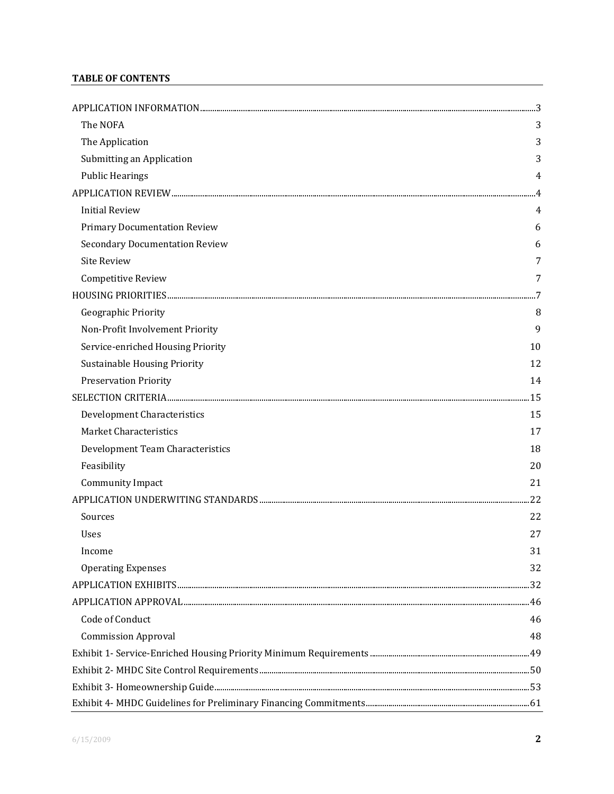### **TABLE OF CONTENTS**

| The NOFA                              | 3   |
|---------------------------------------|-----|
| The Application                       | 3   |
| Submitting an Application             | 3   |
| <b>Public Hearings</b>                | 4   |
|                                       |     |
| <b>Initial Review</b>                 | 4   |
| <b>Primary Documentation Review</b>   | 6   |
| <b>Secondary Documentation Review</b> | 6   |
| <b>Site Review</b>                    | 7   |
| Competitive Review                    | 7   |
|                                       |     |
| Geographic Priority                   | 8   |
| Non-Profit Involvement Priority       | 9   |
| Service-enriched Housing Priority     | 10  |
| <b>Sustainable Housing Priority</b>   | 12  |
| <b>Preservation Priority</b>          | 14  |
|                                       | .15 |
| <b>Development Characteristics</b>    | 15  |
| <b>Market Characteristics</b>         | 17  |
| Development Team Characteristics      | 18  |
| Feasibility                           | 20  |
| Community Impact                      | 21  |
|                                       | .22 |
| Sources                               | 22  |
| <b>Uses</b>                           | 27  |
| Income                                | 31  |
| <b>Operating Expenses</b>             | 32  |
|                                       |     |
|                                       |     |
| Code of Conduct                       | 46  |
| <b>Commission Approval</b>            | 48  |
|                                       |     |
|                                       |     |
|                                       |     |
|                                       |     |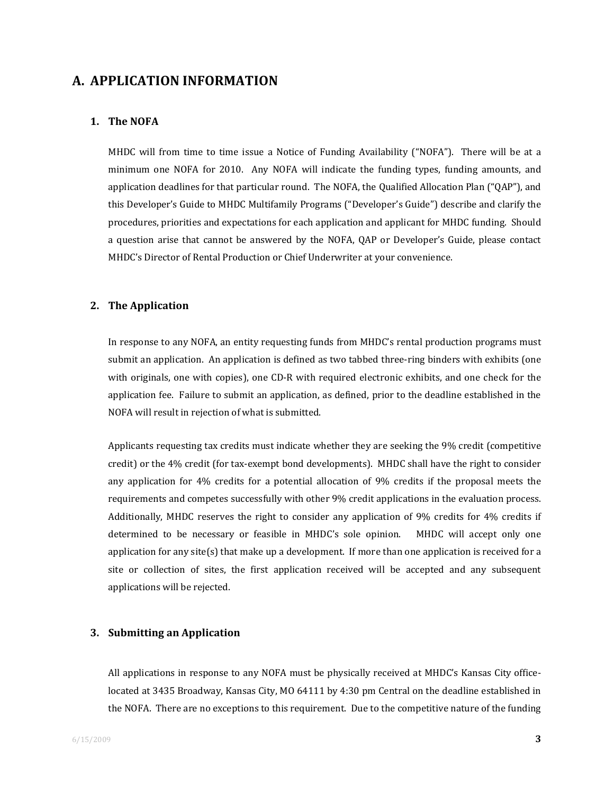## **A. APPLICATION INFORMATION**

#### **1. The NOFA**

MHDC will from time to time issue a Notice of Funding Availability ("NOFA"). There will be at a minimum one NOFA for 2010. Any NOFA will indicate the funding types, funding amounts, and application deadlines for that particular round. The NOFA, the Qualified Allocation Plan ("QAP"), and this Developer's Guide to MHDC Multifamily Programs ("Developer's Guide") describe and clarify the procedures, priorities and expectations for each application and applicant for MHDC funding. Should a question arise that cannot be answered by the NOFA, QAP or Developer's Guide, please contact MHDC's Director of Rental Production or Chief Underwriter at your convenience.

#### **2. The Application**

In response to any NOFA, an entity requesting funds from MHDC's rental production programs must submit an application. An application is defined as two tabbed three-ring binders with exhibits (one with originals, one with copies), one CD-R with required electronic exhibits, and one check for the application fee. Failure to submit an application, as defined, prior to the deadline established in the NOFA will result in rejection of what is submitted.

Applicants requesting tax credits must indicate whether they are seeking the 9% credit (competitive credit) or the 4% credit (for tax-exempt bond developments). MHDC shall have the right to consider any application for 4% credits for a potential allocation of 9% credits if the proposal meets the requirements and competes successfully with other 9% credit applications in the evaluation process. Additionally, MHDC reserves the right to consider any application of 9% credits for 4% credits if determined to be necessary or feasible in MHDC's sole opinion. MHDC will accept only one application for any site(s) that make up a development. If more than one application is received for a site or collection of sites, the first application received will be accepted and any subsequent applications will be rejected.

#### **3. Submitting an Application**

All applications in response to any NOFA must be physically received at MHDC's Kansas City office‐ located at 3435 Broadway, Kansas City, MO 64111 by 4:30 pm Central on the deadline established in the NOFA. There are no exceptions to this requirement. Due to the competitive nature of the funding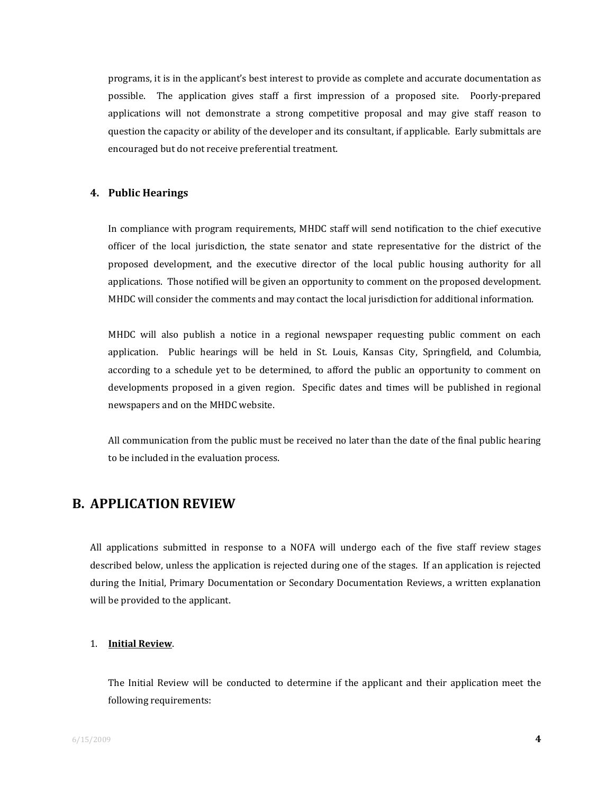programs, it is in the applicant's best interest to provide as complete and accurate documentation as possible. The application gives staff a first impression of a proposed site. Poorly‐prepared applications will not demonstrate a strong competitive proposal and may give staff reason to question the capacity or ability of the developer and its consultant, if applicable. Early submittals are encouraged but do not receive preferential treatment.

#### **4. Public Hearings**

In compliance with program requirements, MHDC staff will send notification to the chief executive officer of the local jurisdiction, the state senator and state representative for the district of the proposed development, and the executive director of the local public housing authority for all applications. Those notified will be given an opportunity to comment on the proposed development. MHDC will consider the comments and may contact the local jurisdiction for additional information.

MHDC will also publish a notice in a regional newspaper requesting public comment on each application. Public hearings will be held in St. Louis, Kansas City, Springfield, and Columbia, according to a schedule yet to be determined, to afford the public an opportunity to comment on developments proposed in a given region. Specific dates and times will be published in regional newspapers and on the MHDC website.

All communication from the public must be received no later than the date of the final public hearing to be included in the evaluation process.

## **B. APPLICATION REVIEW**

All applications submitted in response to a NOFA will undergo each of the five staff review stages described below, unless the application is rejected during one of the stages. If an application is rejected during the Initial, Primary Documentation or Secondary Documentation Reviews, a written explanation will be provided to the applicant.

#### 1. **Initial Review**.

The Initial Review will be conducted to determine if the applicant and their application meet the following requirements: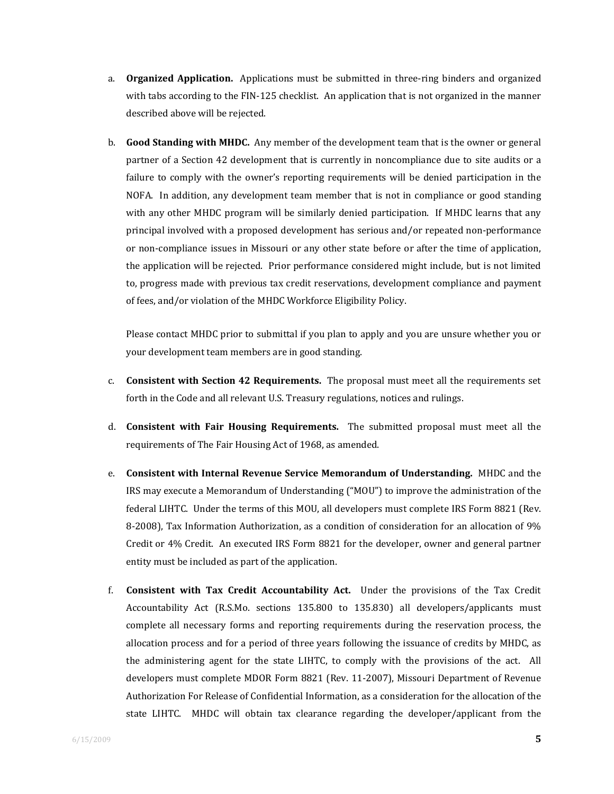- a. **Organized Application.** Applications must be submitted in three‐ring binders and organized with tabs according to the FIN-125 checklist. An application that is not organized in the manner described above will be rejected.
- b. **Good Standing with MHDC.** Any member of the development team that is the owner or general partner of a Section 42 development that is currently in noncompliance due to site audits or a failure to comply with the owner's reporting requirements will be denied participation in the NOFA. In addition, any development team member that is not in compliance or good standing with any other MHDC program will be similarly denied participation. If MHDC learns that any principal involved with a proposed development has serious and/or repeated non‐performance or non‐compliance issues in Missouri or any other state before or after the time of application, the application will be rejected. Prior performance considered might include, but is not limited to, progress made with previous tax credit reservations, development compliance and payment of fees, and/or violation of the MHDC Workforce Eligibility Policy.

Please contact MHDC prior to submittal if you plan to apply and you are unsure whether you or your development team members are in good standing.

- c. **Consistent with Section 42 Requirements.** The proposal must meet all the requirements set forth in the Code and all relevant U.S. Treasury regulations, notices and rulings.
- d. **Consistent with Fair Housing Requirements.** The submitted proposal must meet all the requirements of The Fair Housing Act of 1968, as amended.
- e. **Consistent with Internal Revenue Service Memorandum of Understanding.** MHDC and the IRS may execute a Memorandum of Understanding ("MOU") to improve the administration of the federal LIHTC. Under the terms of this MOU, all developers must complete IRS Form 8821 (Rev. 8‐2008), Tax Information Authorization, as a condition of consideration for an allocation of 9% Credit or 4% Credit. An executed IRS Form 8821 for the developer, owner and general partner entity must be included as part of the application.
- f. **Consistent with Tax Credit Accountability Act.** Under the provisions of the Tax Credit Accountability Act (R.S.Mo. sections 135.800 to 135.830) all developers/applicants must complete all necessary forms and reporting requirements during the reservation process, the allocation process and for a period of three years following the issuance of credits by MHDC, as the administering agent for the state LIHTC, to comply with the provisions of the act. All developers must complete MDOR Form 8821 (Rev. 11‐2007), Missouri Department of Revenue Authorization For Release of Confidential Information, as a consideration for the allocation of the state LIHTC. MHDC will obtain tax clearance regarding the developer/applicant from the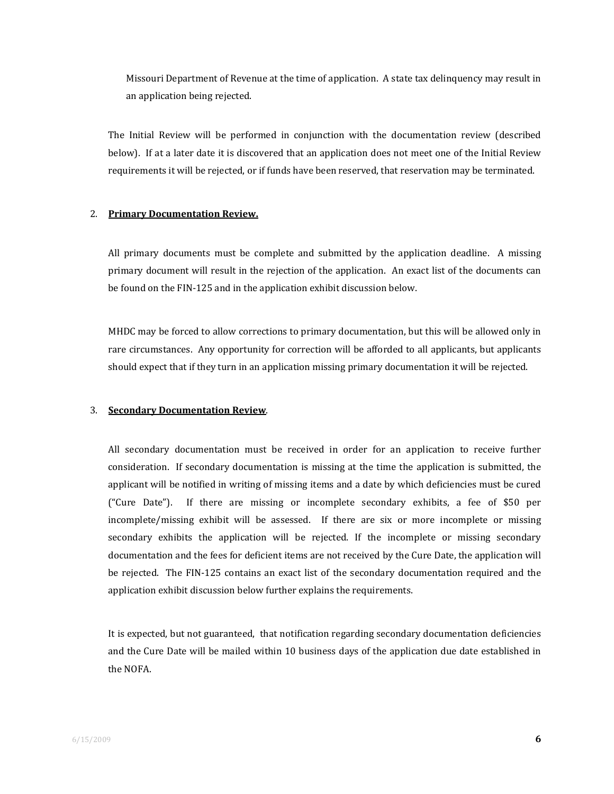Missouri Department of Revenue at the time of application. A state tax delinquency may result in an application being rejected.

The Initial Review will be performed in conjunction with the documentation review (described below). If at a later date it is discovered that an application does not meet one of the Initial Review requirements it will be rejected, or if funds have been reserved, that reservation may be terminated.

#### 2. **Primary Documentation Review.**

All primary documents must be complete and submitted by the application deadline. A missing primary document will result in the rejection of the application. An exact list of the documents can be found on the FIN‐125 and in the application exhibit discussion below.

MHDC may be forced to allow corrections to primary documentation, but this will be allowed only in rare circumstances. Any opportunity for correction will be afforded to all applicants, but applicants should expect that if they turn in an application missing primary documentation it will be rejected.

#### 3. **Secondary Documentation Review**.

All secondary documentation must be received in order for an application to receive further consideration. If secondary documentation is missing at the time the application is submitted, the applicant will be notified in writing of missing items and a date by which deficiencies must be cured ("Cure Date"). If there are missing or incomplete secondary exhibits, a fee of \$50 per incomplete/missing exhibit will be assessed. If there are six or more incomplete or missing secondary exhibits the application will be rejected. If the incomplete or missing secondary documentation and the fees for deficient items are not received by the Cure Date, the application will be rejected. The FIN-125 contains an exact list of the secondary documentation required and the application exhibit discussion below further explains the requirements.

It is expected, but not guaranteed, that notification regarding secondary documentation deficiencies and the Cure Date will be mailed within 10 business days of the application due date established in the NOFA.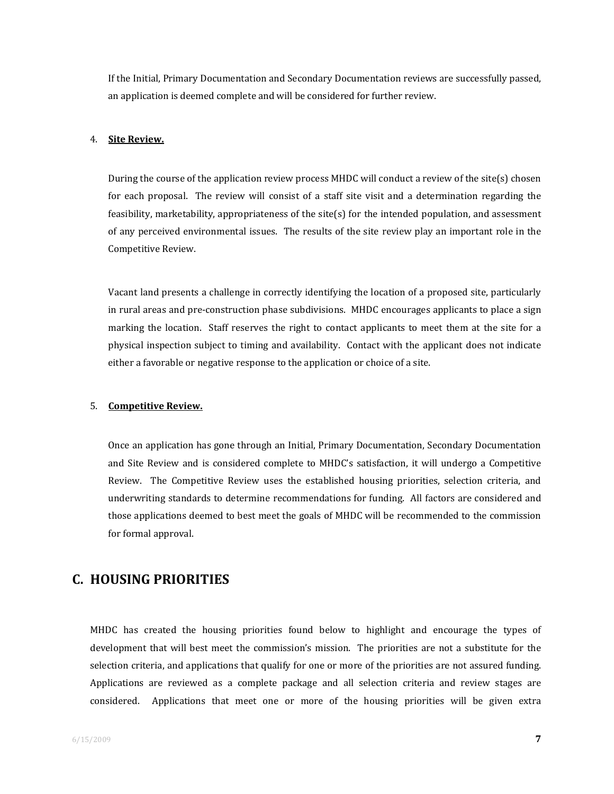If the Initial, Primary Documentation and Secondary Documentation reviews are successfully passed, an application is deemed complete and will be considered for further review.

#### 4. **Site Review.**

During the course of the application review process MHDC will conduct a review of the site(s) chosen for each proposal. The review will consist of a staff site visit and a determination regarding the feasibility, marketability, appropriateness of the site(s) for the intended population, and assessment of any perceived environmental issues. The results of the site review play an important role in the Competitive Review.

Vacant land presents a challenge in correctly identifying the location of a proposed site, particularly in rural areas and pre-construction phase subdivisions. MHDC encourages applicants to place a sign marking the location. Staff reserves the right to contact applicants to meet them at the site for a physical inspection subject to timing and availability. Contact with the applicant does not indicate either a favorable or negative response to the application or choice of a site.

#### 5. **Competitive Review.**

Once an application has gone through an Initial, Primary Documentation, Secondary Documentation and Site Review and is considered complete to MHDC's satisfaction, it will undergo a Competitive Review. The Competitive Review uses the established housing priorities, selection criteria, and underwriting standards to determine recommendations for funding. All factors are considered and those applications deemed to best meet the goals of MHDC will be recommended to the commission for formal approval.

## **C. HOUSING PRIORITIES**

MHDC has created the housing priorities found below to highlight and encourage the types of development that will best meet the commission's mission. The priorities are not a substitute for the selection criteria, and applications that qualify for one or more of the priorities are not assured funding. Applications are reviewed as a complete package and all selection criteria and review stages are considered. Applications that meet one or more of the housing priorities will be given extra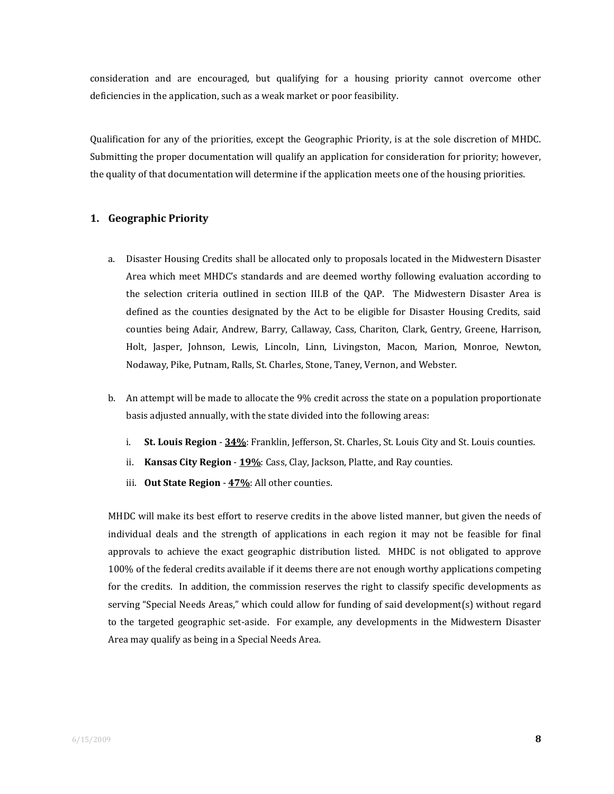consideration and are encouraged, but qualifying for a housing priority cannot overcome other deficiencies in the application, such as a weak market or poor feasibility.

Qualification for any of the priorities, except the Geographic Priority, is at the sole discretion of MHDC. Submitting the proper documentation will qualify an application for consideration for priority; however, the quality of that documentation will determine if the application meets one of the housing priorities.

#### **1. Geographic Priority**

- a. Disaster Housing Credits shall be allocated only to proposals located in the Midwestern Disaster Area which meet MHDC's standards and are deemed worthy following evaluation according to the selection criteria outlined in section III.B of the QAP. The Midwestern Disaster Area is defined as the counties designated by the Act to be eligible for Disaster Housing Credits, said counties being Adair, Andrew, Barry, Callaway, Cass, Chariton, Clark, Gentry, Greene, Harrison, Holt, Jasper, Johnson, Lewis, Lincoln, Linn, Livingston, Macon, Marion, Monroe, Newton, Nodaway, Pike, Putnam, Ralls, St. Charles, Stone, Taney, Vernon, and Webster.
- b. An attempt will be made to allocate the 9% credit across the state on a population proportionate basis adjusted annually, with the state divided into the following areas:
	- i. **St. Louis Region** ‐ **34%**: Franklin, Jefferson, St. Charles, St. Louis City and St. Louis counties.
	- ii. **Kansas City Region** ‐ **19%**: Cass, Clay, Jackson, Platte, and Ray counties.
	- iii. **Out State Region** ‐ **47%**: All other counties.

MHDC will make its best effort to reserve credits in the above listed manner, but given the needs of individual deals and the strength of applications in each region it may not be feasible for final approvals to achieve the exact geographic distribution listed. MHDC is not obligated to approve 100% of the federal credits available if it deems there are not enough worthy applications competing for the credits. In addition, the commission reserves the right to classify specific developments as serving "Special Needs Areas," which could allow for funding of said development(s) without regard to the targeted geographic set-aside. For example, any developments in the Midwestern Disaster Area may qualify as being in a Special Needs Area.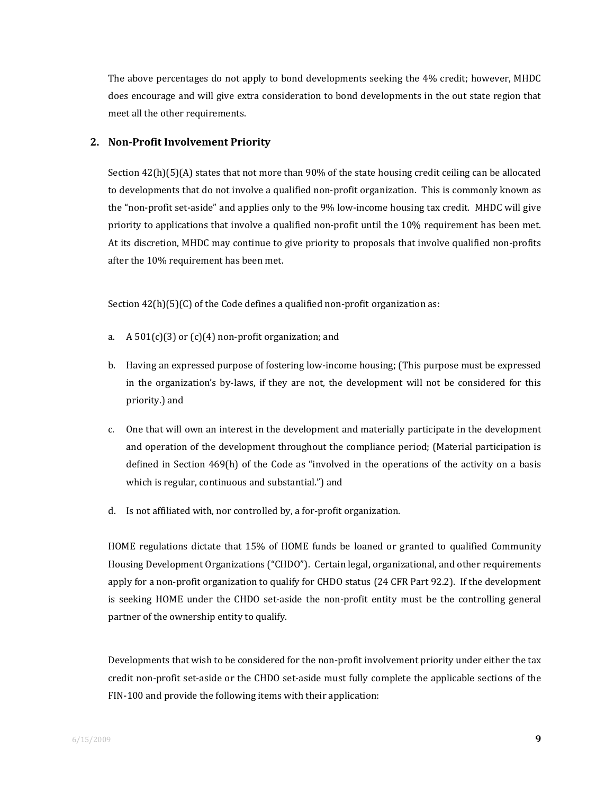The above percentages do not apply to bond developments seeking the 4% credit; however, MHDC does encourage and will give extra consideration to bond developments in the out state region that meet all the other requirements.

#### **2. NonProfit Involvement Priority**

Section 42(h)(5)(A) states that not more than 90% of the state housing credit ceiling can be allocated to developments that do not involve a qualified non‐profit organization. This is commonly known as the "non-profit set-aside" and applies only to the 9% low-income housing tax credit. MHDC will give priority to applications that involve a qualified non-profit until the 10% requirement has been met. At its discretion, MHDC may continue to give priority to proposals that involve qualified non‐profits after the 10% requirement has been met.

Section 42(h)(5)(C) of the Code defines a qualified non-profit organization as:

- a.  $A\ 501(c)(3)$  or  $(c)(4)$  non-profit organization; and
- b. Having an expressed purpose of fostering low‐income housing; (This purpose must be expressed in the organization's by-laws, if they are not, the development will not be considered for this priority.) and
- c. One that will own an interest in the development and materially participate in the development and operation of the development throughout the compliance period; (Material participation is defined in Section 469(h) of the Code as "involved in the operations of the activity on a basis which is regular, continuous and substantial.") and
- d. Is not affiliated with, nor controlled by, a for‐profit organization.

HOME regulations dictate that 15% of HOME funds be loaned or granted to qualified Community Housing Development Organizations ("CHDO"). Certain legal, organizational, and other requirements apply for a non‐profit organization to qualify for CHDO status (24 CFR Part 92.2). If the development is seeking HOME under the CHDO set-aside the non-profit entity must be the controlling general partner of the ownership entity to qualify.

Developments that wish to be considered for the non-profit involvement priority under either the tax credit non‐profit set‐aside or the CHDO set‐aside must fully complete the applicable sections of the FIN-100 and provide the following items with their application: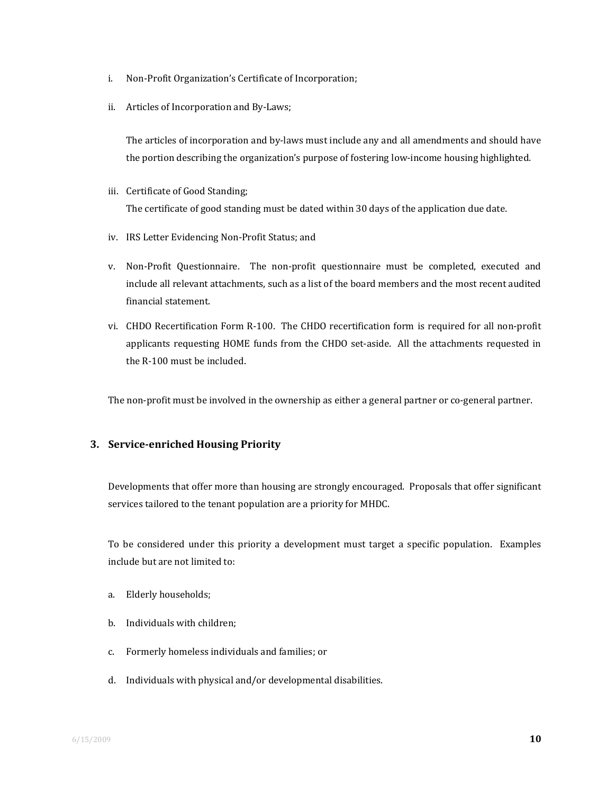- i. Non‐Profit Organization's Certificate of Incorporation;
- ii. Articles of Incorporation and By‐Laws;

The articles of incorporation and by-laws must include any and all amendments and should have the portion describing the organization's purpose of fostering low‐income housing highlighted.

- iii. Certificate of Good Standing; The certificate of good standing must be dated within 30 days of the application due date.
- iv. IRS Letter Evidencing Non‐Profit Status; and
- v. Non‐Profit Questionnaire. The non‐profit questionnaire must be completed, executed and include all relevant attachments, such as a list of the board members and the most recent audited financial statement.
- vi. CHDO Recertification Form R‐100. The CHDO recertification form is required for all non‐profit applicants requesting HOME funds from the CHDO set‐aside. All the attachments requested in the R‐100 must be included.

The non-profit must be involved in the ownership as either a general partner or co-general partner.

#### **3. Serviceenriched Housing Priority**

Developments that offer more than housing are strongly encouraged. Proposals that offer significant services tailored to the tenant population are a priority for MHDC.

To be considered under this priority a development must target a specific population. Examples include but are not limited to:

- a. Elderly households;
- b. Individuals with children;
- c. Formerly homeless individuals and families; or
- d. Individuals with physical and/or developmental disabilities.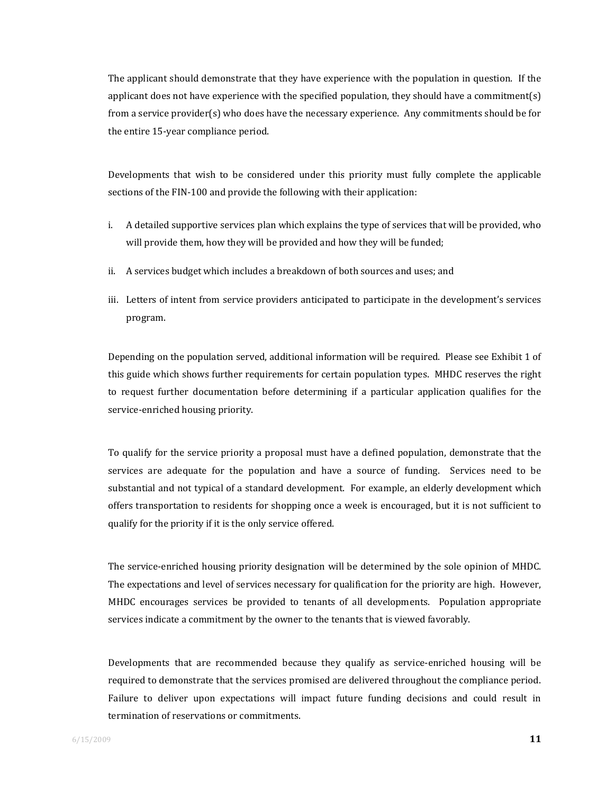The applicant should demonstrate that they have experience with the population in question. If the applicant does not have experience with the specified population, they should have a commitment(s) from a service provider(s) who does have the necessary experience. Any commitments should be for the entire 15‐year compliance period.

Developments that wish to be considered under this priority must fully complete the applicable sections of the FIN-100 and provide the following with their application:

- i. A detailed supportive services plan which explains the type of services that will be provided, who will provide them, how they will be provided and how they will be funded;
- ii. A services budget which includes a breakdown of both sources and uses; and
- iii. Letters of intent from service providers anticipated to participate in the development's services program.

Depending on the population served, additional information will be required. Please see Exhibit 1 of this guide which shows further requirements for certain population types. MHDC reserves the right to request further documentation before determining if a particular application qualifies for the service-enriched housing priority.

To qualify for the service priority a proposal must have a defined population, demonstrate that the services are adequate for the population and have a source of funding. Services need to be substantial and not typical of a standard development. For example, an elderly development which offers transportation to residents for shopping once a week is encouraged, but it is not sufficient to qualify for the priority if it is the only service offered.

The service‐enriched housing priority designation will be determined by the sole opinion of MHDC. The expectations and level of services necessary for qualification for the priority are high. However, MHDC encourages services be provided to tenants of all developments. Population appropriate services indicate a commitment by the owner to the tenants that is viewed favorably.

Developments that are recommended because they qualify as service-enriched housing will be required to demonstrate that the services promised are delivered throughout the compliance period. Failure to deliver upon expectations will impact future funding decisions and could result in termination of reservations or commitments.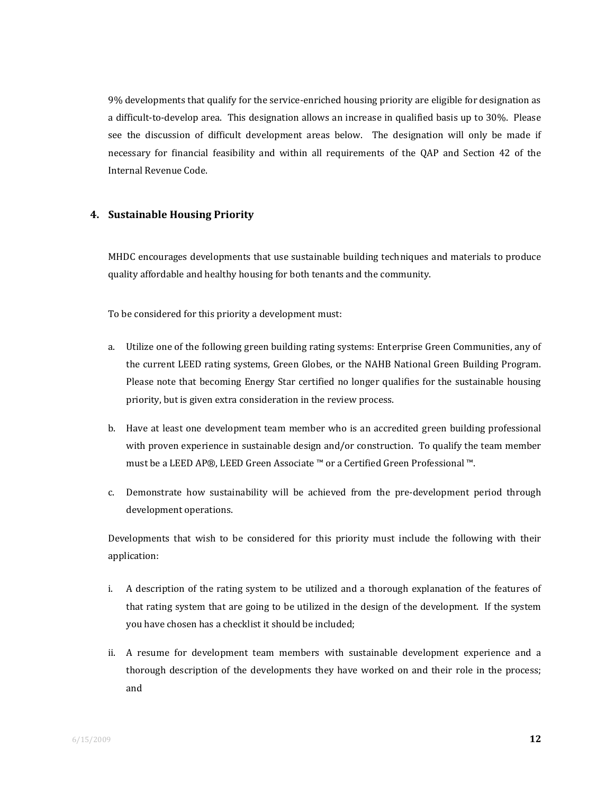9% developments that qualify for the service‐enriched housing priority are eligible for designation as a difficult‐to‐develop area. This designation allows an increase in qualified basis up to 30%. Please see the discussion of difficult development areas below. The designation will only be made if necessary for financial feasibility and within all requirements of the QAP and Section 42 of the Internal Revenue Code.

#### **4. Sustainable Housing Priority**

MHDC encourages developments that use sustainable building techniques and materials to produce quality affordable and healthy housing for both tenants and the community.

To be considered for this priority a development must:

- a. Utilize one of the following green building rating systems: Enterprise Green Communities, any of the current LEED rating systems, Green Globes, or the NAHB National Green Building Program. Please note that becoming Energy Star certified no longer qualifies for the sustainable housing priority, but is given extra consideration in the review process.
- b. Have at least one development team member who is an accredited green building professional with proven experience in sustainable design and/or construction. To qualify the team member must be a LEED AP®, LEED Green Associate ™ or a Certified Green Professional ™.
- c. Demonstrate how sustainability will be achieved from the pre‐development period through development operations.

Developments that wish to be considered for this priority must include the following with their application:

- i. A description of the rating system to be utilized and a thorough explanation of the features of that rating system that are going to be utilized in the design of the development. If the system you have chosen has a checklist it should be included;
- ii. A resume for development team members with sustainable development experience and a thorough description of the developments they have worked on and their role in the process; and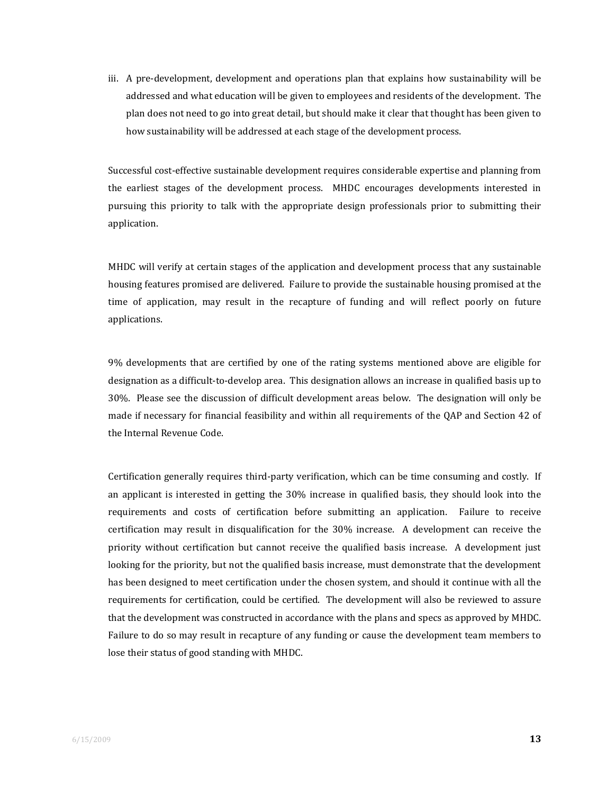iii. A pre-development, development and operations plan that explains how sustainability will be addressed and what education will be given to employees and residents of the development. The plan does not need to go into great detail, but should make it clear that thought has been given to how sustainability will be addressed at each stage of the development process.

Successful cost‐effective sustainable development requires considerable expertise and planning from the earliest stages of the development process. MHDC encourages developments interested in pursuing this priority to talk with the appropriate design professionals prior to submitting their application.

MHDC will verify at certain stages of the application and development process that any sustainable housing features promised are delivered. Failure to provide the sustainable housing promised at the time of application, may result in the recapture of funding and will reflect poorly on future applications.

9% developments that are certified by one of the rating systems mentioned above are eligible for designation as a difficult‐to‐develop area. This designation allows an increase in qualified basis up to 30%. Please see the discussion of difficult development areas below. The designation will only be made if necessary for financial feasibility and within all requirements of the QAP and Section 42 of the Internal Revenue Code.

Certification generally requires third‐party verification, which can be time consuming and costly. If an applicant is interested in getting the 30% increase in qualified basis, they should look into the requirements and costs of certification before submitting an application. Failure to receive certification may result in disqualification for the 30% increase. A development can receive the priority without certification but cannot receive the qualified basis increase. A development just looking for the priority, but not the qualified basis increase, must demonstrate that the development has been designed to meet certification under the chosen system, and should it continue with all the requirements for certification, could be certified. The development will also be reviewed to assure that the development was constructed in accordance with the plans and specs as approved by MHDC. Failure to do so may result in recapture of any funding or cause the development team members to lose their status of good standing with MHDC.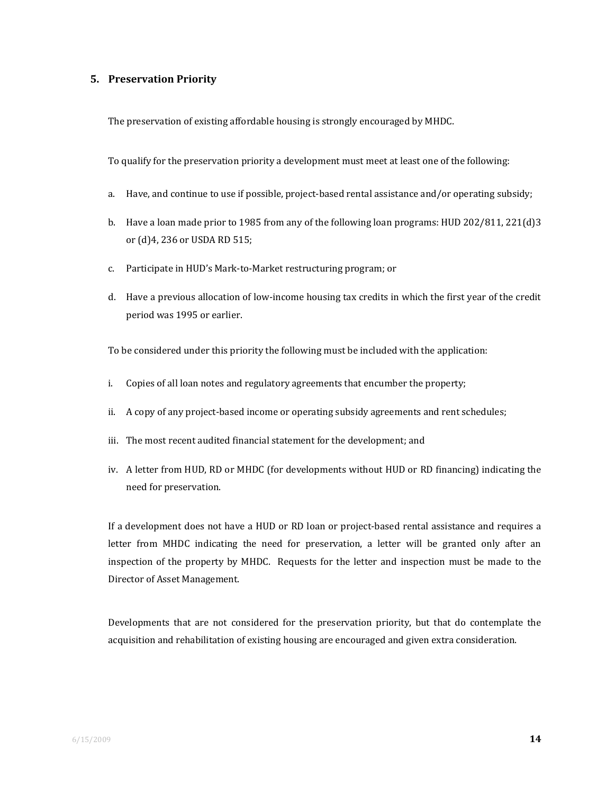#### **5. Preservation Priority**

The preservation of existing affordable housing is strongly encouraged by MHDC.

To qualify for the preservation priority a development must meet at least one of the following:

- a. Have, and continue to use if possible, project-based rental assistance and/or operating subsidy;
- b. Have a loan made prior to 1985 from any of the following loan programs: HUD 202/811, 221(d)3 or (d)4, 236 or USDA RD 515;
- c. Participate in HUD's Mark‐to‐Market restructuring program; or
- d. Have a previous allocation of low‐income housing tax credits in which the first year of the credit period was 1995 or earlier.

To be considered under this priority the following must be included with the application:

- i. Copies of all loan notes and regulatory agreements that encumber the property;
- ii. A copy of any project-based income or operating subsidy agreements and rent schedules;
- iii. The most recent audited financial statement for the development; and
- iv. A letter from HUD, RD or MHDC (for developments without HUD or RD financing) indicating the need for preservation.

If a development does not have a HUD or RD loan or project‐based rental assistance and requires a letter from MHDC indicating the need for preservation, a letter will be granted only after an inspection of the property by MHDC. Requests for the letter and inspection must be made to the Director of Asset Management.

Developments that are not considered for the preservation priority, but that do contemplate the acquisition and rehabilitation of existing housing are encouraged and given extra consideration.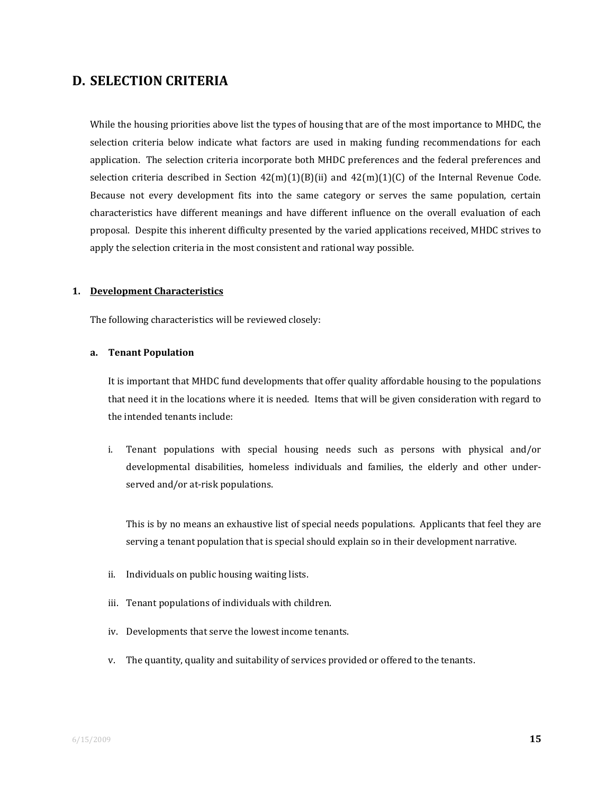## **D. SELECTION CRITERIA**

While the housing priorities above list the types of housing that are of the most importance to MHDC, the selection criteria below indicate what factors are used in making funding recommendations for each application. The selection criteria incorporate both MHDC preferences and the federal preferences and selection criteria described in Section  $42(m)(1)(B)(ii)$  and  $42(m)(1)(C)$  of the Internal Revenue Code. Because not every development fits into the same category or serves the same population, certain characteristics have different meanings and have different influence on the overall evaluation of each proposal. Despite this inherent difficulty presented by the varied applications received, MHDC strives to apply the selection criteria in the most consistent and rational way possible.

#### **1. Development Characteristics**

The following characteristics will be reviewed closely:

#### **a. Tenant Population**

It is important that MHDC fund developments that offer quality affordable housing to the populations that need it in the locations where it is needed. Items that will be given consideration with regard to the intended tenants include:

i. Tenant populations with special housing needs such as persons with physical and/or developmental disabilities, homeless individuals and families, the elderly and other under‐ served and/or at-risk populations.

This is by no means an exhaustive list of special needs populations. Applicants that feel they are serving a tenant population that is special should explain so in their development narrative.

- ii. Individuals on public housing waiting lists.
- iii. Tenant populations of individuals with children.
- iv. Developments that serve the lowest income tenants.
- v. The quantity, quality and suitability of services provided or offered to the tenants.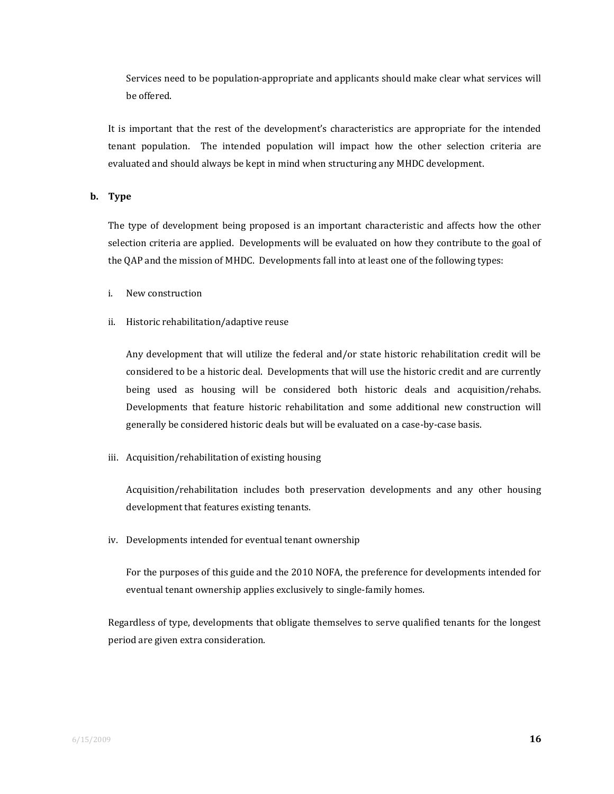Services need to be population‐appropriate and applicants should make clear what services will be offered.

It is important that the rest of the development's characteristics are appropriate for the intended tenant population. The intended population will impact how the other selection criteria are evaluated and should always be kept in mind when structuring any MHDC development.

#### **b. Type**

The type of development being proposed is an important characteristic and affects how the other selection criteria are applied. Developments will be evaluated on how they contribute to the goal of the QAP and the mission of MHDC. Developments fall into at least one of the following types:

- i. New construction
- ii. Historic rehabilitation/adaptive reuse

Any development that will utilize the federal and/or state historic rehabilitation credit will be considered to be a historic deal. Developments that will use the historic credit and are currently being used as housing will be considered both historic deals and acquisition/rehabs. Developments that feature historic rehabilitation and some additional new construction will generally be considered historic deals but will be evaluated on a case‐by‐case basis.

iii. Acquisition/rehabilitation of existing housing

Acquisition/rehabilitation includes both preservation developments and any other housing development that features existing tenants.

iv. Developments intended for eventual tenant ownership

For the purposes of this guide and the 2010 NOFA, the preference for developments intended for eventual tenant ownership applies exclusively to single‐family homes.

Regardless of type, developments that obligate themselves to serve qualified tenants for the longest period are given extra consideration.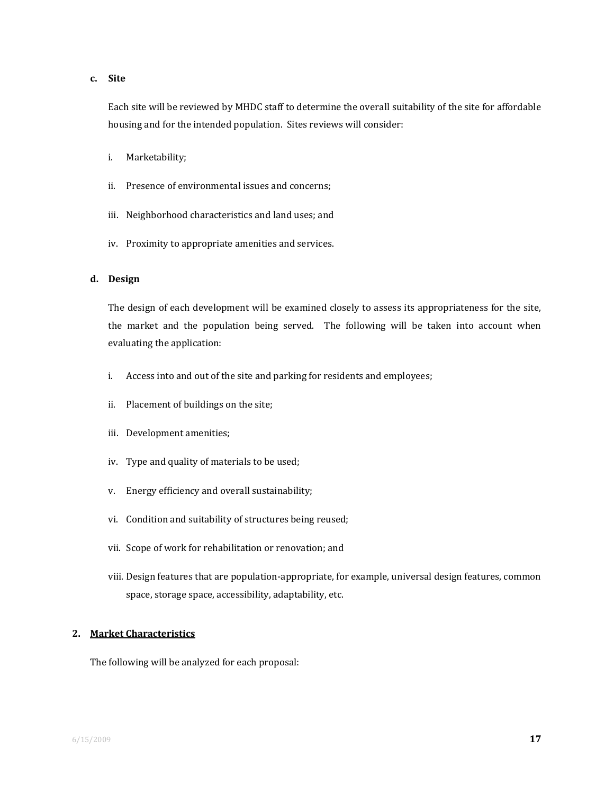#### **c. Site**

Each site will be reviewed by MHDC staff to determine the overall suitability of the site for affordable housing and for the intended population. Sites reviews will consider:

- i. Marketability;
- ii. Presence of environmental issues and concerns;
- iii. Neighborhood characteristics and land uses; and
- iv. Proximity to appropriate amenities and services.

#### **d. Design**

The design of each development will be examined closely to assess its appropriateness for the site, the market and the population being served. The following will be taken into account when evaluating the application:

- i. Access into and out of the site and parking for residents and employees;
- ii. Placement of buildings on the site;
- iii. Development amenities;
- iv. Type and quality of materials to be used;
- v. Energy efficiency and overall sustainability;
- vi. Condition and suitability of structures being reused;
- vii. Scope of work for rehabilitation or renovation; and
- viii. Design features that are population‐appropriate, for example, universal design features, common space, storage space, accessibility, adaptability, etc.

#### **2. Market Characteristics**

The following will be analyzed for each proposal: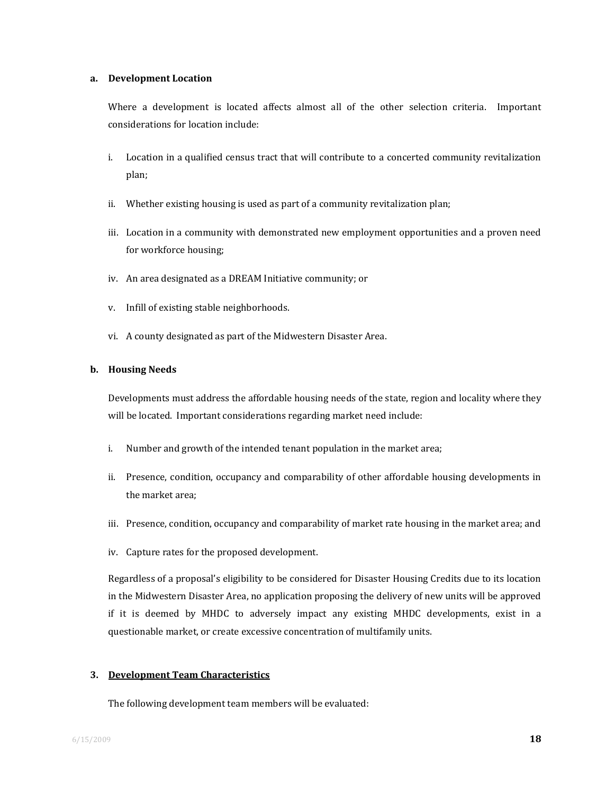#### **a. Development Location**

Where a development is located affects almost all of the other selection criteria. Important considerations for location include:

- i. Location in a qualified census tract that will contribute to a concerted community revitalization plan;
- ii. Whether existing housing is used as part of a community revitalization plan;
- iii. Location in a community with demonstrated new employment opportunities and a proven need for workforce housing;
- iv. An area designated as a DREAM Initiative community; or
- v. Infill of existing stable neighborhoods.
- vi. A county designated as part of the Midwestern Disaster Area.

#### **b. Housing Needs**

Developments must address the affordable housing needs of the state, region and locality where they will be located. Important considerations regarding market need include:

- i. Number and growth of the intended tenant population in the market area;
- ii. Presence, condition, occupancy and comparability of other affordable housing developments in the market area;
- iii. Presence, condition, occupancy and comparability of market rate housing in the market area; and
- iv. Capture rates for the proposed development.

Regardless of a proposal's eligibility to be considered for Disaster Housing Credits due to its location in the Midwestern Disaster Area, no application proposing the delivery of new units will be approved if it is deemed by MHDC to adversely impact any existing MHDC developments, exist in a questionable market, or create excessive concentration of multifamily units.

#### **3. Development Team Characteristics**

The following development team members will be evaluated: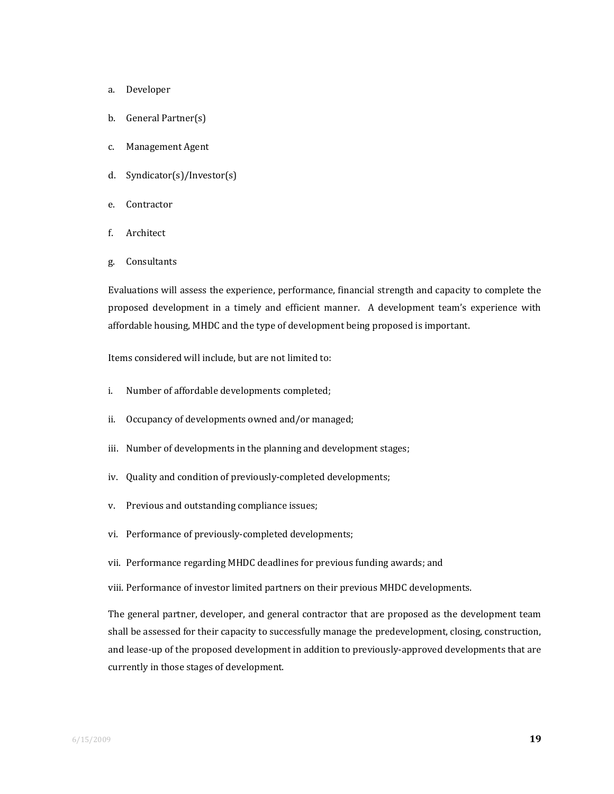- a. Developer
- b. General Partner(s)
- c. Management Agent
- d. Syndicator(s)/Investor(s)
- e. Contractor
- f. Architect
- g. Consultants

Evaluations will assess the experience, performance, financial strength and capacity to complete the proposed development in a timely and efficient manner. A development team's experience with affordable housing, MHDC and the type of development being proposed is important.

Items considered will include, but are not limited to:

- i. Number of affordable developments completed;
- ii. Occupancy of developments owned and/or managed;
- iii. Number of developments in the planning and development stages;
- iv. Quality and condition of previously-completed developments;
- v. Previous and outstanding compliance issues;
- vi. Performance of previously‐completed developments;
- vii. Performance regarding MHDC deadlines for previous funding awards; and
- viii. Performance of investor limited partners on their previous MHDC developments.

The general partner, developer, and general contractor that are proposed as the development team shall be assessed for their capacity to successfully manage the predevelopment, closing, construction, and lease-up of the proposed development in addition to previously-approved developments that are currently in those stages of development.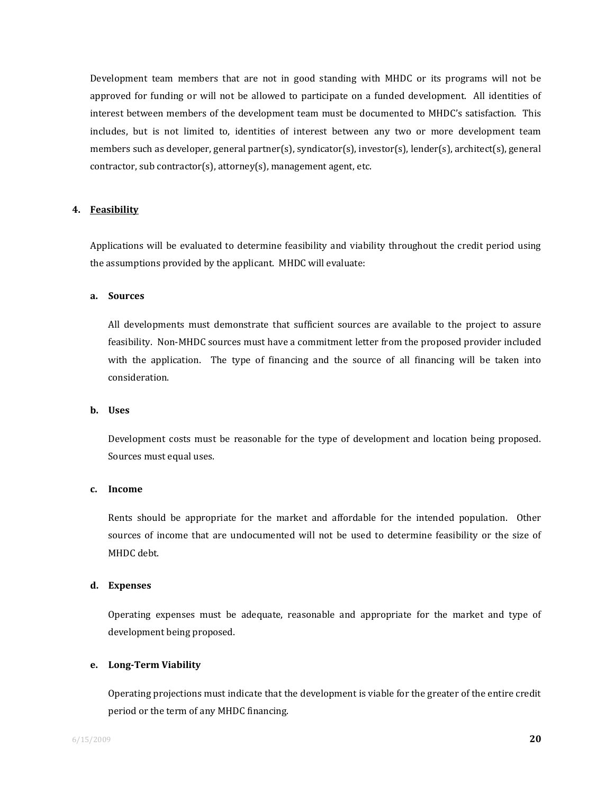Development team members that are not in good standing with MHDC or its programs will not be approved for funding or will not be allowed to participate on a funded development. All identities of interest between members of the development team must be documented to MHDC's satisfaction. This includes, but is not limited to, identities of interest between any two or more development team members such as developer, general partner(s), syndicator(s), investor(s), lender(s), architect(s), general contractor, sub contractor(s), attorney(s), management agent, etc.

#### **4. Feasibility**

Applications will be evaluated to determine feasibility and viability throughout the credit period using the assumptions provided by the applicant. MHDC will evaluate:

#### **a. Sources**

All developments must demonstrate that sufficient sources are available to the project to assure feasibility. Non‐MHDC sources must have a commitment letter from the proposed provider included with the application. The type of financing and the source of all financing will be taken into consideration.

#### **b. Uses**

Development costs must be reasonable for the type of development and location being proposed. Sources must equal uses.

#### **c. Income**

Rents should be appropriate for the market and affordable for the intended population. Other sources of income that are undocumented will not be used to determine feasibility or the size of MHDC debt.

#### **d. Expenses**

Operating expenses must be adequate, reasonable and appropriate for the market and type of development being proposed.

#### **e. LongTerm Viability**

Operating projections must indicate that the development is viable for the greater of the entire credit period or the term of any MHDC financing.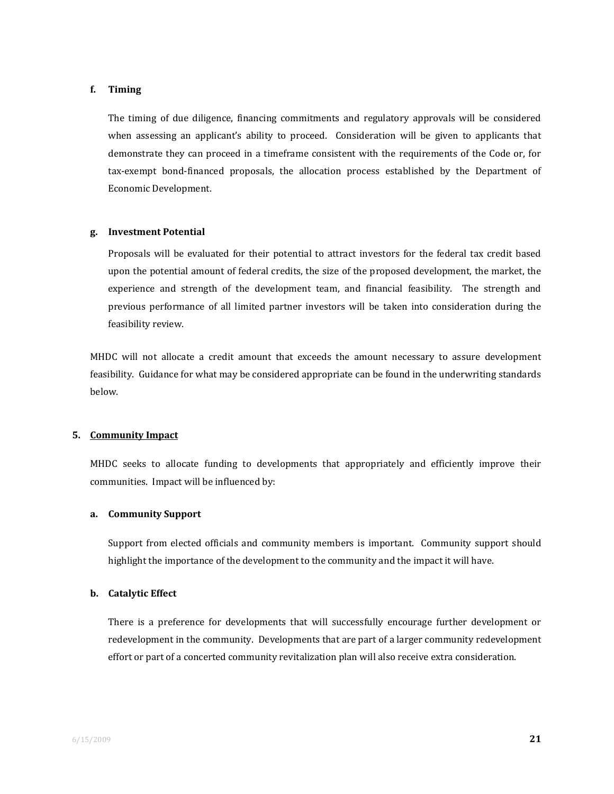#### **f. Timing**

The timing of due diligence, financing commitments and regulatory approvals will be considered when assessing an applicant's ability to proceed. Consideration will be given to applicants that demonstrate they can proceed in a timeframe consistent with the requirements of the Code or, for tax‐exempt bond‐financed proposals, the allocation process established by the Department of Economic Development.

#### **g. Investment Potential**

Proposals will be evaluated for their potential to attract investors for the federal tax credit based upon the potential amount of federal credits, the size of the proposed development, the market, the experience and strength of the development team, and financial feasibility. The strength and previous performance of all limited partner investors will be taken into consideration during the feasibility review.

MHDC will not allocate a credit amount that exceeds the amount necessary to assure development feasibility. Guidance for what may be considered appropriate can be found in the underwriting standards below.

#### **5. Community Impact**

MHDC seeks to allocate funding to developments that appropriately and efficiently improve their communities. Impact will be influenced by:

#### **a. Community Support**

Support from elected officials and community members is important. Community support should highlight the importance of the development to the community and the impact it will have.

#### **b. Catalytic Effect**

There is a preference for developments that will successfully encourage further development or redevelopment in the community. Developments that are part of a larger community redevelopment effort or part of a concerted community revitalization plan will also receive extra consideration.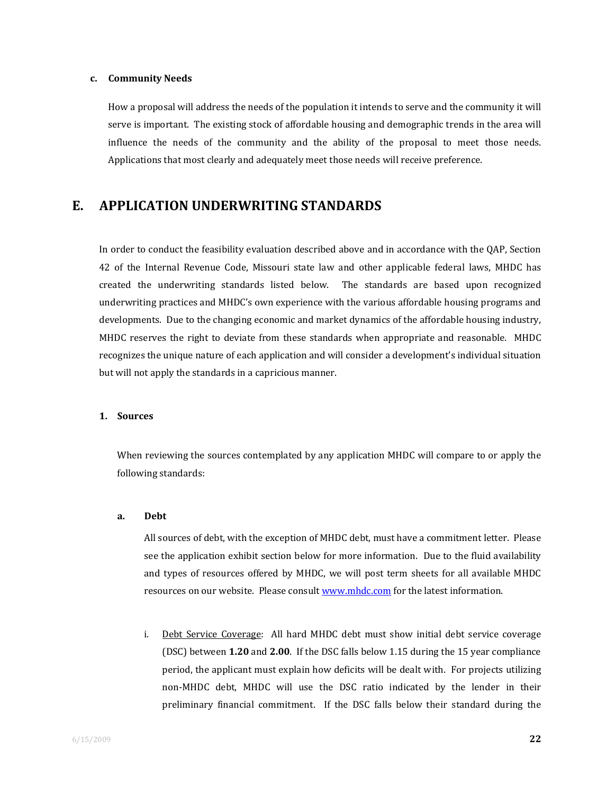#### **c. Community Needs**

How a proposal will address the needs of the population it intends to serve and the community it will serve is important. The existing stock of affordable housing and demographic trends in the area will influence the needs of the community and the ability of the proposal to meet those needs. Applications that most clearly and adequately meet those needs will receive preference.

## **E. APPLICATION UNDERWRITING STANDARDS**

In order to conduct the feasibility evaluation described above and in accordance with the QAP, Section 42 of the Internal Revenue Code, Missouri state law and other applicable federal laws, MHDC has created the underwriting standards listed below. The standards are based upon recognized underwriting practices and MHDC's own experience with the various affordable housing programs and developments. Due to the changing economic and market dynamics of the affordable housing industry, MHDC reserves the right to deviate from these standards when appropriate and reasonable. MHDC recognizes the unique nature of each application and will consider a development's individual situation but will not apply the standards in a capricious manner.

#### **1. Sources**

When reviewing the sources contemplated by any application MHDC will compare to or apply the following standards:

#### **a. Debt**

All sources of debt, with the exception of MHDC debt, must have a commitment letter. Please see the application exhibit section below for more information. Due to the fluid availability and types of resources offered by MHDC, we will post term sheets for all available MHDC resources on our website. Please consult www.mhdc.com for the latest information.

i. Debt Service Coverage: All hard MHDC debt must show initial debt service coverage (DSC) between **1.20** and **2.00**. If the DSC falls below 1.15 during the 15 year compliance period, the applicant must explain how deficits will be dealt with. For projects utilizing non‐MHDC debt, MHDC will use the DSC ratio indicated by the lender in their preliminary financial commitment. If the DSC falls below their standard during the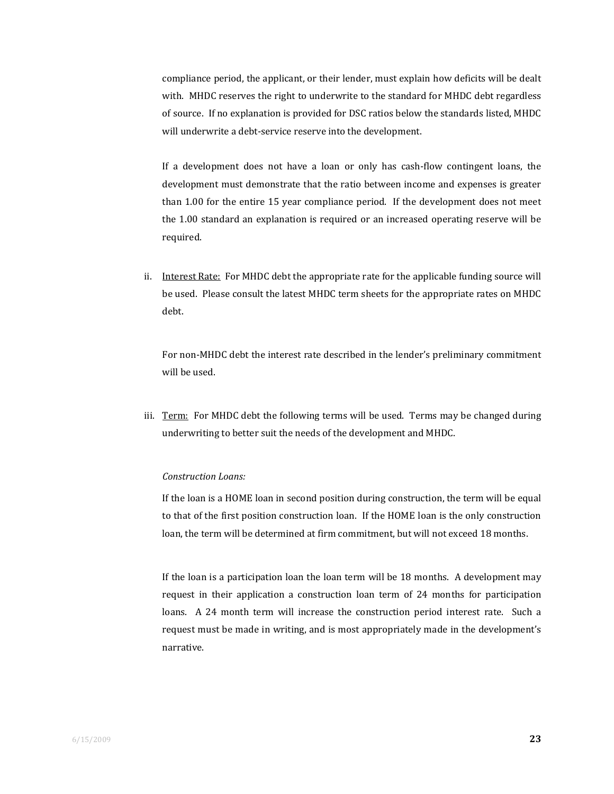compliance period, the applicant, or their lender, must explain how deficits will be dealt with. MHDC reserves the right to underwrite to the standard for MHDC debt regardless of source. If no explanation is provided for DSC ratios below the standards listed, MHDC will underwrite a debt-service reserve into the development.

If a development does not have a loan or only has cash-flow contingent loans, the development must demonstrate that the ratio between income and expenses is greater than 1.00 for the entire 15 year compliance period. If the development does not meet the 1.00 standard an explanation is required or an increased operating reserve will be required.

ii. Interest Rate: For MHDC debt the appropriate rate for the applicable funding source will be used. Please consult the latest MHDC term sheets for the appropriate rates on MHDC debt.

For non‐MHDC debt the interest rate described in the lender's preliminary commitment will be used.

iii. Term: For MHDC debt the following terms will be used. Terms may be changed during underwriting to better suit the needs of the development and MHDC.

#### *Construction Loans:*

If the loan is a HOME loan in second position during construction, the term will be equal to that of the first position construction loan. If the HOME loan is the only construction loan, the term will be determined at firm commitment, but will not exceed 18 months.

If the loan is a participation loan the loan term will be 18 months. A development may request in their application a construction loan term of 24 months for participation loans. A 24 month term will increase the construction period interest rate. Such a request must be made in writing, and is most appropriately made in the development's narrative.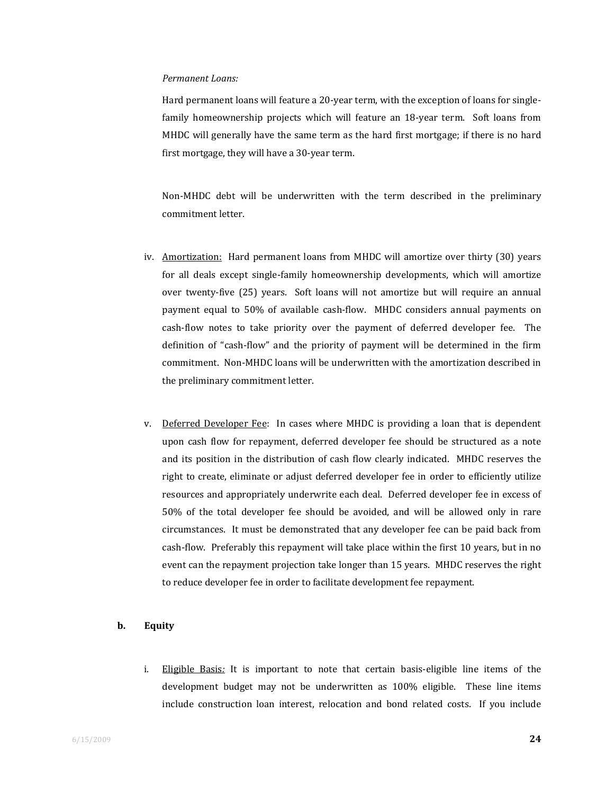#### *Permanent Loans:*

Hard permanent loans will feature a 20-year term, with the exception of loans for singlefamily homeownership projects which will feature an  $18$ -year term. Soft loans from MHDC will generally have the same term as the hard first mortgage; if there is no hard first mortgage, they will have a 30‐year term.

Non-MHDC debt will be underwritten with the term described in the preliminary commitment letter.

- iv. Amortization: Hard permanent loans from MHDC will amortize over thirty (30) years for all deals except single-family homeownership developments, which will amortize over twenty-five (25) years. Soft loans will not amortize but will require an annual payment equal to 50% of available cash-flow. MHDC considers annual payments on cash-flow notes to take priority over the payment of deferred developer fee. The definition of "cash‐flow" and the priority of payment will be determined in the firm commitment. Non‐MHDC loans will be underwritten with the amortization described in the preliminary commitment letter.
- v. Deferred Developer Fee: In cases where MHDC is providing a loan that is dependent upon cash flow for repayment, deferred developer fee should be structured as a note and its position in the distribution of cash flow clearly indicated. MHDC reserves the right to create, eliminate or adjust deferred developer fee in order to efficiently utilize resources and appropriately underwrite each deal. Deferred developer fee in excess of 50% of the total developer fee should be avoided, and will be allowed only in rare circumstances. It must be demonstrated that any developer fee can be paid back from cash‐flow. Preferably this repayment will take place within the first 10 years, but in no event can the repayment projection take longer than 15 years. MHDC reserves the right to reduce developer fee in order to facilitate development fee repayment.

#### **b. Equity**

i. Eligible Basis*:* It is important to note that certain basis‐eligible line items of the development budget may not be underwritten as 100% eligible. These line items include construction loan interest, relocation and bond related costs. If you include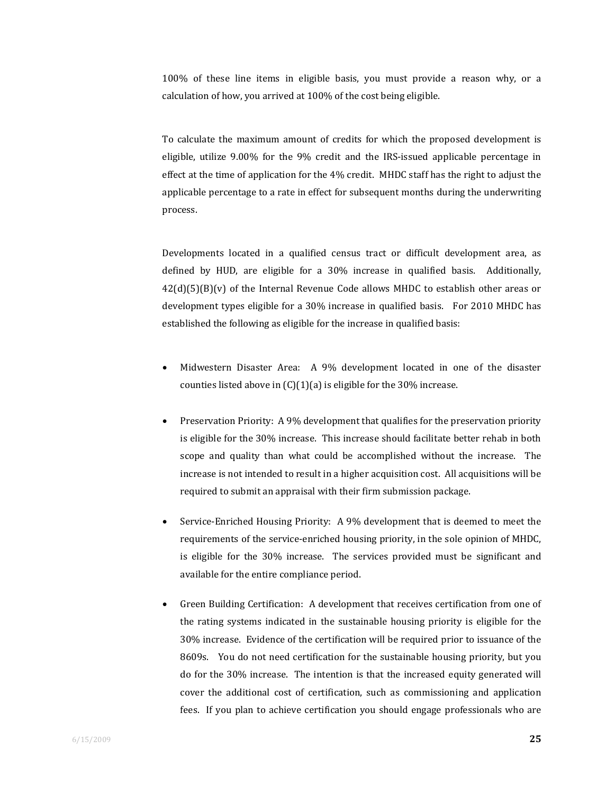100% of these line items in eligible basis, you must provide a reason why, or a calculation of how, you arrived at 100% of the cost being eligible.

To calculate the maximum amount of credits for which the proposed development is eligible, utilize 9.00% for the 9% credit and the IRS‐issued applicable percentage in effect at the time of application for the 4% credit. MHDC staff has the right to adjust the applicable percentage to a rate in effect for subsequent months during the underwriting process.

 Developments located in a qualified census tract or difficult development area, as defined by HUD, are eligible for a 30% increase in qualified basis. Additionally,  $42(d)(5)(B)(v)$  of the Internal Revenue Code allows MHDC to establish other areas or development types eligible for a 30% increase in qualified basis. For 2010 MHDC has established the following as eligible for the increase in qualified basis:

- Midwestern Disaster Area: A 9% development located in one of the disaster counties listed above in  $(C)(1)(a)$  is eligible for the 30% increase.
- Preservation Priority: A 9% development that qualifies for the preservation priority is eligible for the 30% increase. This increase should facilitate better rehab in both scope and quality than what could be accomplished without the increase. The increase is not intended to result in a higher acquisition cost. All acquisitions will be required to submit an appraisal with their firm submission package.
- Service‐Enriched Housing Priority: A 9% development that is deemed to meet the requirements of the service‐enriched housing priority, in the sole opinion of MHDC, is eligible for the 30% increase. The services provided must be significant and available for the entire compliance period.
- Green Building Certification: A development that receives certification from one of the rating systems indicated in the sustainable housing priority is eligible for the 30% increase. Evidence of the certification will be required prior to issuance of the 8609s. You do not need certification for the sustainable housing priority, but you do for the 30% increase. The intention is that the increased equity generated will cover the additional cost of certification, such as commissioning and application fees. If you plan to achieve certification you should engage professionals who are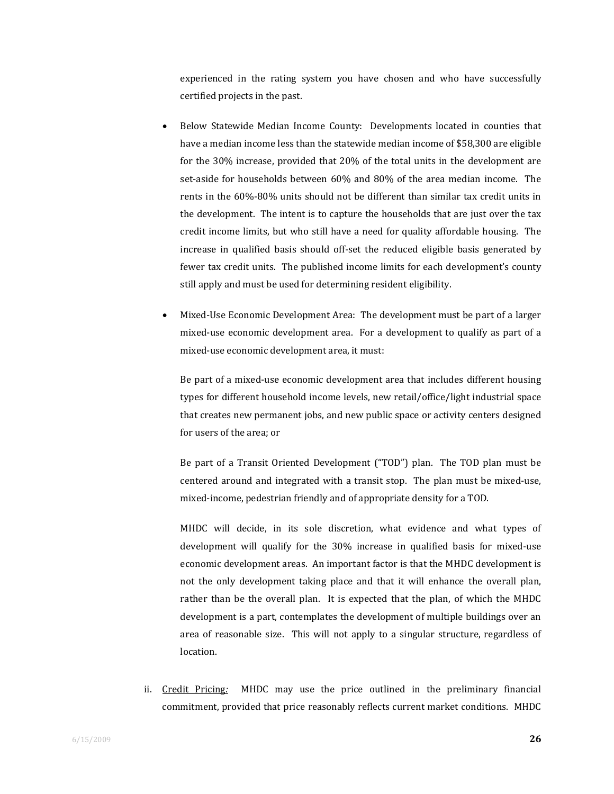experienced in the rating system you have chosen and who have successfully certified projects in the past.

- Below Statewide Median Income County: Developments located in counties that have a median income less than the statewide median income of \$58,300 are eligible for the 30% increase, provided that 20% of the total units in the development are set-aside for households between 60% and 80% of the area median income. The rents in the 60%‐80% units should not be different than similar tax credit units in the development. The intent is to capture the households that are just over the tax credit income limits, but who still have a need for quality affordable housing. The increase in qualified basis should off-set the reduced eligible basis generated by fewer tax credit units. The published income limits for each development's county still apply and must be used for determining resident eligibility.
- Mixed‐Use Economic Development Area: The development must be part of a larger mixed-use economic development area. For a development to qualify as part of a mixed‐use economic development area, it must:

Be part of a mixed-use economic development area that includes different housing types for different household income levels, new retail/office/light industrial space that creates new permanent jobs, and new public space or activity centers designed for users of the area; or

Be part of a Transit Oriented Development ("TOD") plan. The TOD plan must be centered around and integrated with a transit stop. The plan must be mixed‐use, mixed‐income, pedestrian friendly and of appropriate density for a TOD.

MHDC will decide, in its sole discretion, what evidence and what types of development will qualify for the 30% increase in qualified basis for mixed‐use economic development areas. An important factor is that the MHDC development is not the only development taking place and that it will enhance the overall plan, rather than be the overall plan. It is expected that the plan, of which the MHDC development is a part, contemplates the development of multiple buildings over an area of reasonable size. This will not apply to a singular structure, regardless of location.

ii. Credit Pricing*:* MHDC may use the price outlined in the preliminary financial commitment, provided that price reasonably reflects current market conditions. MHDC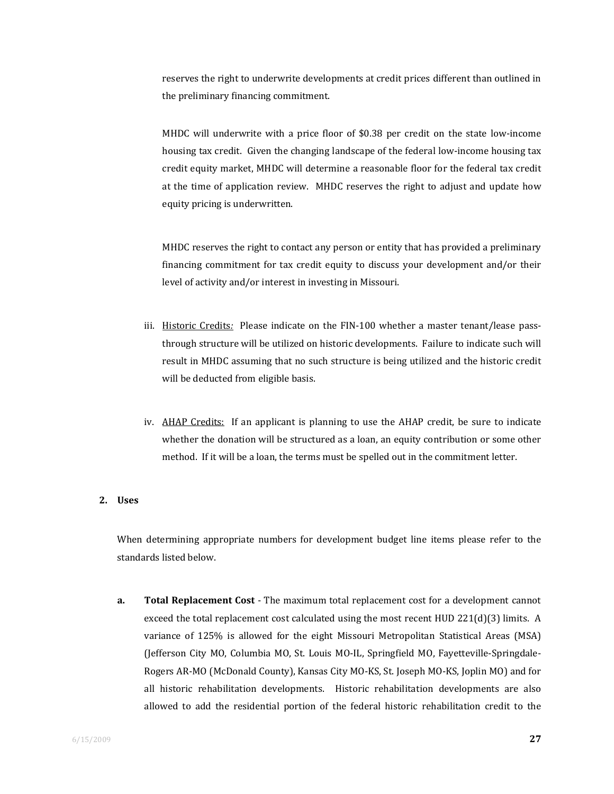reserves the right to underwrite developments at credit prices different than outlined in the preliminary financing commitment.

MHDC will underwrite with a price floor of \$0.38 per credit on the state low-income housing tax credit. Given the changing landscape of the federal low‐income housing tax credit equity market, MHDC will determine a reasonable floor for the federal tax credit at the time of application review. MHDC reserves the right to adjust and update how equity pricing is underwritten.

 MHDC reserves the right to contact any person or entity that has provided a preliminary financing commitment for tax credit equity to discuss your development and/or their level of activity and/or interest in investing in Missouri.

- iii. Historic Credits: Please indicate on the FIN-100 whether a master tenant/lease passthrough structure will be utilized on historic developments. Failure to indicate such will result in MHDC assuming that no such structure is being utilized and the historic credit will be deducted from eligible basis.
- iv. AHAP Credits: If an applicant is planning to use the AHAP credit, be sure to indicate whether the donation will be structured as a loan, an equity contribution or some other method. If it will be a loan, the terms must be spelled out in the commitment letter.

#### **2. Uses**

When determining appropriate numbers for development budget line items please refer to the standards listed below.

**a. Total Replacement Cost** ‐ The maximum total replacement cost for a development cannot exceed the total replacement cost calculated using the most recent HUD 221(d)(3) limits. A variance of 125% is allowed for the eight Missouri Metropolitan Statistical Areas (MSA) (Jefferson City MO, Columbia MO, St. Louis MO‐IL, Springfield MO, Fayetteville‐Springdale‐ Rogers AR‐MO (McDonald County), Kansas City MO‐KS, St. Joseph MO‐KS, Joplin MO) and for all historic rehabilitation developments. Historic rehabilitation developments are also allowed to add the residential portion of the federal historic rehabilitation credit to the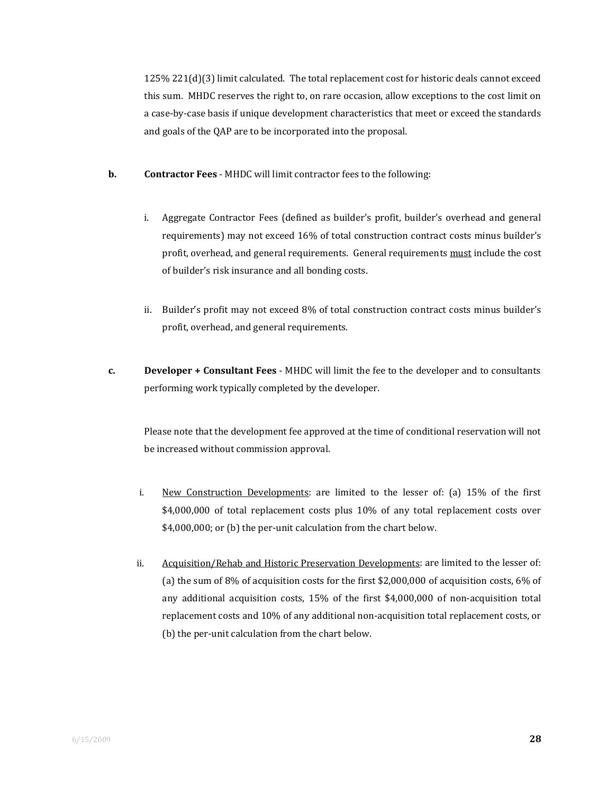125% 221(d)(3) limit calculated. The total replacement cost for historic deals cannot exceed this sum. MHDC reserves the right to, on rare occasion, allow exceptions to the cost limit on a case‐by‐case basis if unique development characteristics that meet or exceed the standards and goals of the QAP are to be incorporated into the proposal.

- **b. Contractor Fees** ‐ MHDC will limit contractor fees to the following:
	- i. Aggregate Contractor Fees (defined as builder's profit, builder's overhead and general requirements) may not exceed 16% of total construction contract costs minus builder's profit, overhead, and general requirements. General requirements must include the cost of builder's risk insurance and all bonding costs.
	- ii. Builder's profit may not exceed 8% of total construction contract costs minus builder's profit, overhead, and general requirements.
- **c. Developer + Consultant Fees** ‐ MHDC will limit the fee to the developer and to consultants performing work typically completed by the developer.

 Please note that the development fee approved at the time of conditional reservation will not be increased without commission approval.

- i. New Construction Developments: are limited to the lesser of: (a) 15% of the first \$4,000,000 of total replacement costs plus 10% of any total replacement costs over \$4,000,000; or (b) the per-unit calculation from the chart below.
- ii. Acquisition/Rehab and Historic Preservation Developments: are limited to the lesser of: (a) the sum of 8% of acquisition costs for the first \$2,000,000 of acquisition costs, 6% of any additional acquisition costs, 15% of the first \$4,000,000 of non-acquisition total replacement costs and 10% of any additional non‐acquisition total replacement costs, or (b) the per-unit calculation from the chart below.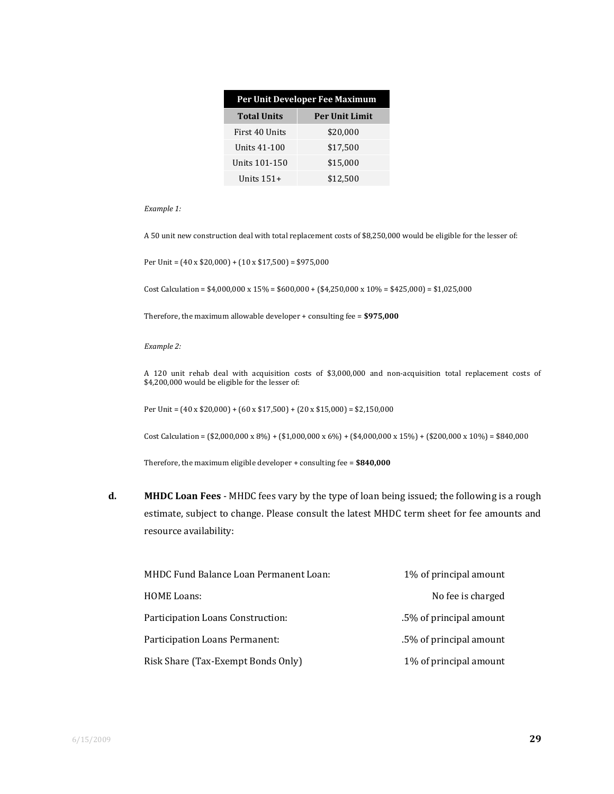| Per Unit Developer Fee Maximum |                       |  |
|--------------------------------|-----------------------|--|
| <b>Total Units</b>             | <b>Per Unit Limit</b> |  |
| First 40 Units                 | \$20,000              |  |
| Units 41-100                   | \$17,500              |  |
| Units 101-150                  | \$15,000              |  |
| Units $151+$                   | \$12.500              |  |

*Example 1:*

A 50 unit new construction deal with total replacement costs of \$8,250,000 would be eligible for the lesser of:

Per Unit =  $(40 \times $20,000) + (10 \times $17,500) = $975,000$ 

Cost Calculation =  $$4,000,000 \times 15\% = $600,000 + $4,250,000 \times 10\% = $425,000 = $1,025,000$ 

Therefore, the maximum allowable developer + consulting fee = **\$975,000**

*Example 2:*

A 120 unit rehab deal with acquisition costs of \$3,000,000 and non‐acquisition total replacement costs of \$4,200,000 would be eligible for the lesser of:

Per Unit = (40 x \$20,000) + (60 x \$17,500) + (20 x \$15,000) = \$2,150,000

Cost Calculation = (\$2,000,000 x 8%) + (\$1,000,000 x 6%) + (\$4,000,000 x 15%) + (\$200,000 x 10%) = \$840,000

Therefore, the maximum eligible developer + consulting fee = **\$840,000**

**d. MHDC Loan Fees** ‐ MHDC fees vary by the type of loan being issued; the following is a rough estimate, subject to change. Please consult the latest MHDC term sheet for fee amounts and resource availability:

| MHDC Fund Balance Loan Permanent Loan: | 1% of principal amount  |
|----------------------------------------|-------------------------|
| <b>HOME Loans:</b>                     | No fee is charged       |
| Participation Loans Construction:      | .5% of principal amount |
| Participation Loans Permanent:         | .5% of principal amount |
| Risk Share (Tax-Exempt Bonds Only)     | 1% of principal amount  |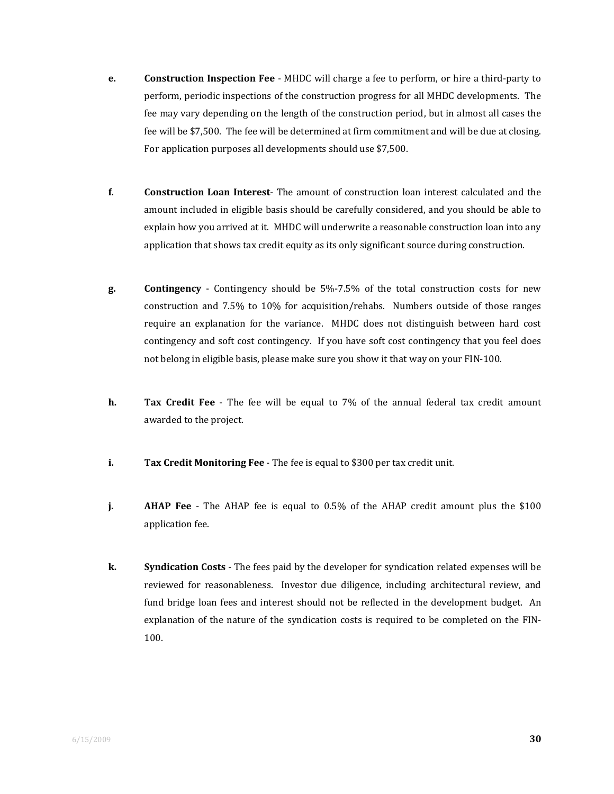- **e. Construction Inspection Fee** ‐ MHDC will charge a fee to perform, or hire a third‐party to perform, periodic inspections of the construction progress for all MHDC developments. The fee may vary depending on the length of the construction period, but in almost all cases the fee will be \$7,500. The fee will be determined at firm commitment and will be due at closing. For application purposes all developments should use \$7,500.
- **f. Construction Loan Interest**‐ The amount of construction loan interest calculated and the amount included in eligible basis should be carefully considered, and you should be able to explain how you arrived at it. MHDC will underwrite a reasonable construction loan into any application that shows tax credit equity as its only significant source during construction.
- **g. Contingency** ‐ Contingency should be 5%‐7.5% of the total construction costs for new construction and 7.5% to 10% for acquisition/rehabs. Numbers outside of those ranges require an explanation for the variance. MHDC does not distinguish between hard cost contingency and soft cost contingency. If you have soft cost contingency that you feel does not belong in eligible basis, please make sure you show it that way on your FIN‐100.
- **h. Tax** Credit Fee The fee will be equal to 7% of the annual federal tax credit amount awarded to the project.
- **i. Tax Credit Monitoring Fee** ‐ The fee is equal to \$300 per tax credit unit.
- **j. AHAP** Fee The AHAP fee is equal to 0.5% of the AHAP credit amount plus the \$100 application fee.
- **k. Syndication Costs** ‐ The fees paid by the developer for syndication related expenses will be reviewed for reasonableness. Investor due diligence, including architectural review, and fund bridge loan fees and interest should not be reflected in the development budget. An explanation of the nature of the syndication costs is required to be completed on the FIN-100.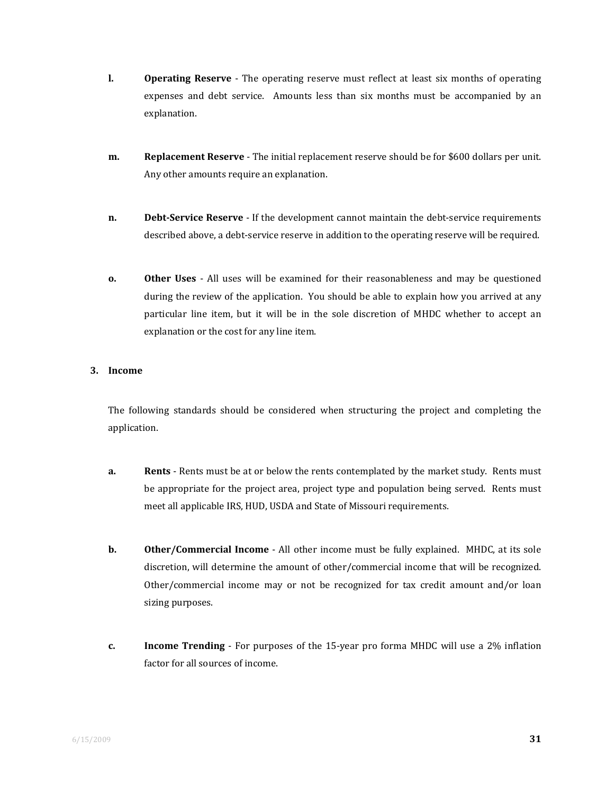- **l. Operating Reserve** The operating reserve must reflect at least six months of operating expenses and debt service. Amounts less than six months must be accompanied by an explanation.
- **m. Replacement Reserve** ‐ The initial replacement reserve should be for \$600 dollars per unit. Any other amounts require an explanation.
- **n. Debt-Service Reserve** If the development cannot maintain the debt-service requirements described above, a debt-service reserve in addition to the operating reserve will be required.
- **o. Other Uses** All uses will be examined for their reasonableness and may be questioned during the review of the application. You should be able to explain how you arrived at any particular line item, but it will be in the sole discretion of MHDC whether to accept an explanation or the cost for any line item.

#### **3. Income**

The following standards should be considered when structuring the project and completing the application.

- **a. Rents** Rents must be at or below the rents contemplated by the market study. Rents must be appropriate for the project area, project type and population being served. Rents must meet all applicable IRS, HUD, USDA and State of Missouri requirements.
- **b. Other/Commercial Income** All other income must be fully explained. MHDC, at its sole discretion, will determine the amount of other/commercial income that will be recognized. Other/commercial income may or not be recognized for tax credit amount and/or loan sizing purposes.
- **c. Income Trending** For purposes of the 15-year pro forma MHDC will use a 2% inflation factor for all sources of income.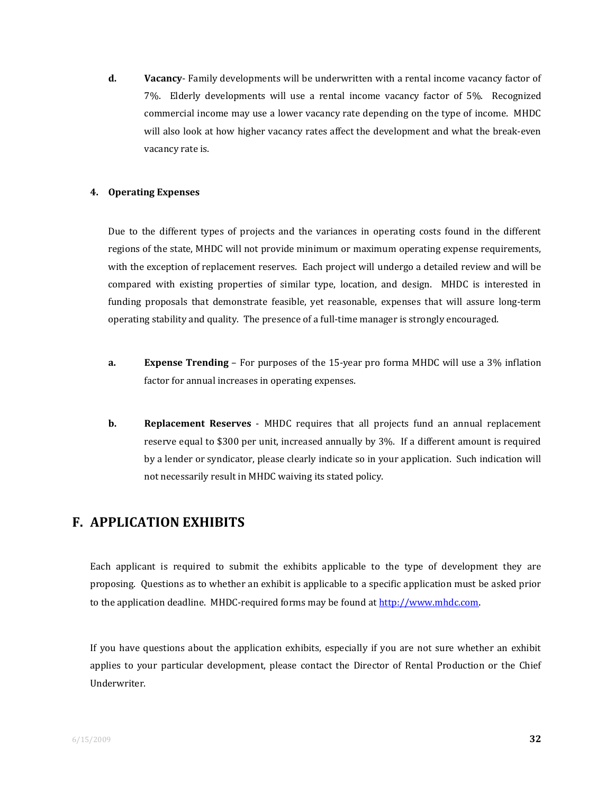**d. Vacancy**‐ Family developments will be underwritten with a rental income vacancy factor of 7%. Elderly developments will use a rental income vacancy factor of 5%. Recognized commercial income may use a lower vacancy rate depending on the type of income. MHDC will also look at how higher vacancy rates affect the development and what the break‐even vacancy rate is.

#### **4. Operating Expenses**

Due to the different types of projects and the variances in operating costs found in the different regions of the state, MHDC will not provide minimum or maximum operating expense requirements, with the exception of replacement reserves. Each project will undergo a detailed review and will be compared with existing properties of similar type, location, and design. MHDC is interested in funding proposals that demonstrate feasible, yet reasonable, expenses that will assure long-term operating stability and quality. The presence of a full‐time manager is strongly encouraged.

- **a. Expense Trending** For purposes of the 15‐year pro forma MHDC will use a 3% inflation factor for annual increases in operating expenses.
- **b. Replacement Reserves** MHDC requires that all projects fund an annual replacement reserve equal to \$300 per unit, increased annually by 3%. If a different amount is required by a lender or syndicator, please clearly indicate so in your application. Such indication will not necessarily result in MHDC waiving its stated policy.

## **F. APPLICATION EXHIBITS**

Each applicant is required to submit the exhibits applicable to the type of development they are proposing. Questions as to whether an exhibit is applicable to a specific application must be asked prior to the application deadline. MHDC‐required forms may be found at http://www.mhdc.com.

If you have questions about the application exhibits, especially if you are not sure whether an exhibit applies to your particular development, please contact the Director of Rental Production or the Chief Underwriter.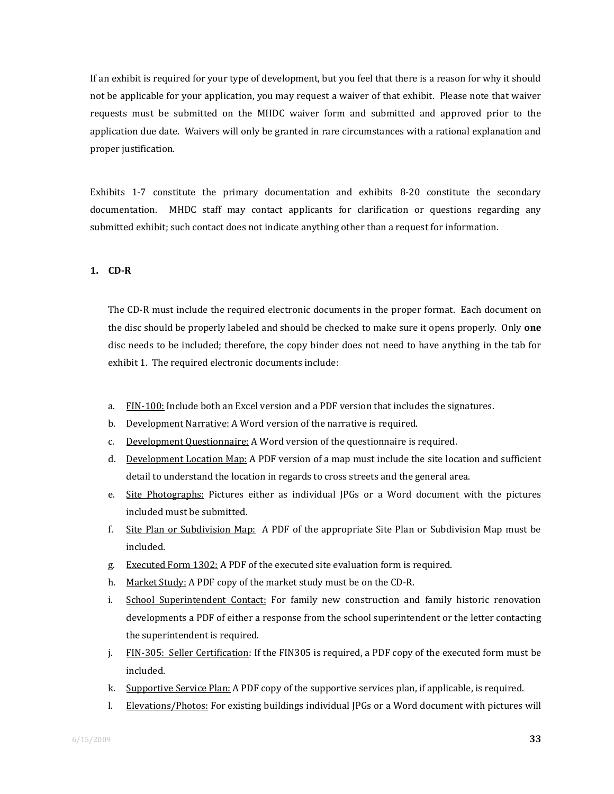If an exhibit is required for your type of development, but you feel that there is a reason for why it should not be applicable for your application, you may request a waiver of that exhibit. Please note that waiver requests must be submitted on the MHDC waiver form and submitted and approved prior to the application due date. Waivers will only be granted in rare circumstances with a rational explanation and proper justification.

Exhibits 1‐7 constitute the primary documentation and exhibits 8‐20 constitute the secondary documentation. MHDC staff may contact applicants for clarification or questions regarding any submitted exhibit; such contact does not indicate anything other than a request for information.

#### **1. CDR**

The CD-R must include the required electronic documents in the proper format. Each document on the disc should be properly labeled and should be checked to make sure it opens properly. Only **one** disc needs to be included; therefore, the copy binder does not need to have anything in the tab for exhibit 1. The required electronic documents include:

- a. FIN-100: Include both an Excel version and a PDF version that includes the signatures.
- b. Development Narrative: A Word version of the narrative is required.
- c. Development Questionnaire: A Word version of the questionnaire is required.
- d. Development Location Map: A PDF version of a map must include the site location and sufficient detail to understand the location in regards to cross streets and the general area.
- e. Site Photographs: Pictures either as individual IPGs or a Word document with the pictures included must be submitted.
- f. Site Plan or Subdivision Map: A PDF of the appropriate Site Plan or Subdivision Map must be included.
- g. Executed Form 1302: A PDF of the executed site evaluation form is required.
- h. Market Study: A PDF copy of the market study must be on the CD‐R.
- i. School Superintendent Contact: For family new construction and family historic renovation developments a PDF of either a response from the school superintendent or the letter contacting the superintendent is required.
- j. FIN‐305: Seller Certification: If the FIN305 is required, a PDF copy of the executed form must be included.
- k. Supportive Service Plan: A PDF copy of the supportive services plan, if applicable, is required.
- l. Elevations/Photos: For existing buildings individual JPGs or a Word document with pictures will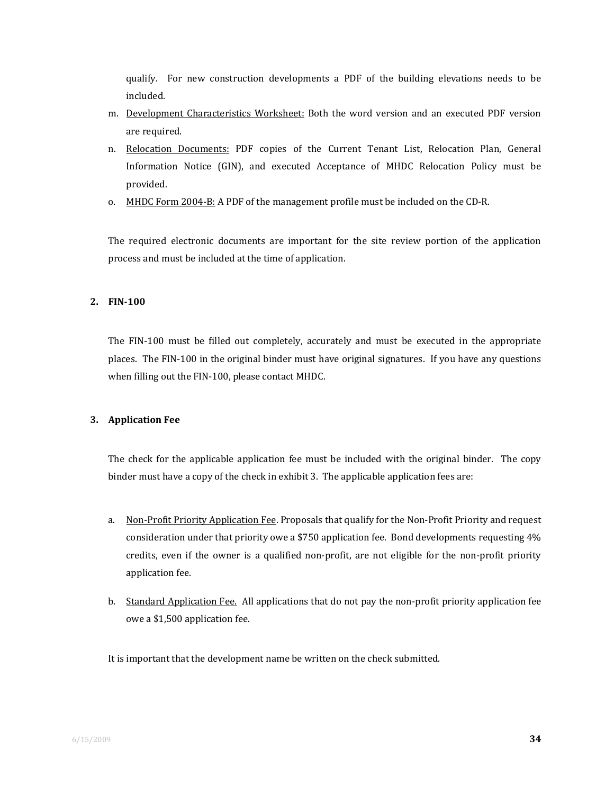qualify. For new construction developments a PDF of the building elevations needs to be included.

- m. Development Characteristics Worksheet: Both the word version and an executed PDF version are required.
- n. Relocation Documents: PDF copies of the Current Tenant List, Relocation Plan, General Information Notice (GIN), and executed Acceptance of MHDC Relocation Policy must be provided.
- o. MHDC Form 2004-B: A PDF of the management profile must be included on the CD-R.

The required electronic documents are important for the site review portion of the application process and must be included at the time of application.

#### **2. FIN100**

The FIN-100 must be filled out completely, accurately and must be executed in the appropriate places. The FIN‐100 in the original binder must have original signatures. If you have any questions when filling out the FIN‐100, please contact MHDC.

#### **3. Application Fee**

The check for the applicable application fee must be included with the original binder. The copy binder must have a copy of the check in exhibit 3. The applicable application fees are:

- a. Non‐Profit Priority Application Fee. Proposals that qualify for the Non‐Profit Priority and request consideration under that priority owe a \$750 application fee. Bond developments requesting 4% credits, even if the owner is a qualified non-profit, are not eligible for the non-profit priority application fee.
- b. Standard Application Fee. All applications that do not pay the non-profit priority application fee owe a \$1,500 application fee.

It is important that the development name be written on the check submitted.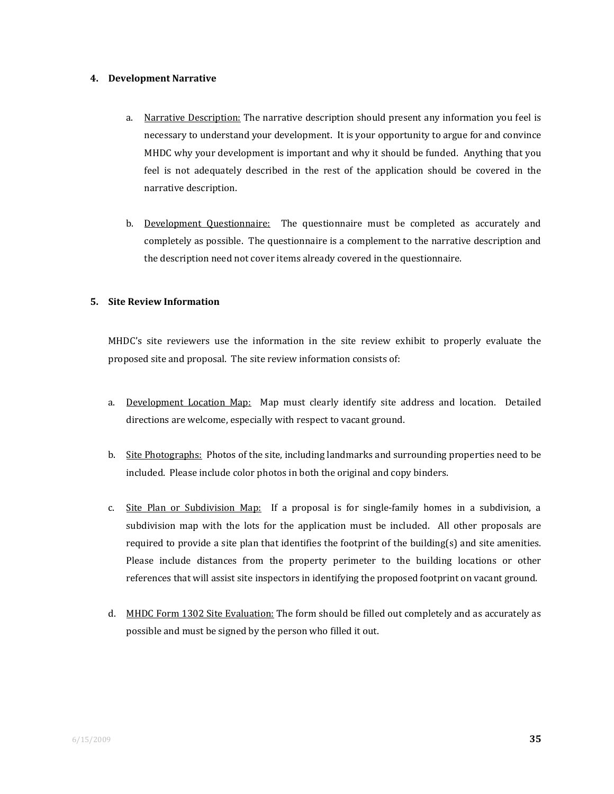#### **4. Development Narrative**

- a. Narrative Description: The narrative description should present any information you feel is necessary to understand your development. It is your opportunity to argue for and convince MHDC why your development is important and why it should be funded. Anything that you feel is not adequately described in the rest of the application should be covered in the narrative description.
- b. Development Questionnaire: The questionnaire must be completed as accurately and completely as possible. The questionnaire is a complement to the narrative description and the description need not cover items already covered in the questionnaire.

#### **5. Site Review Information**

MHDC's site reviewers use the information in the site review exhibit to properly evaluate the proposed site and proposal. The site review information consists of:

- a. Development Location Map: Map must clearly identify site address and location. Detailed directions are welcome, especially with respect to vacant ground.
- b. Site Photographs: Photos of the site, including landmarks and surrounding properties need to be included. Please include color photos in both the original and copy binders.
- c. Site Plan or Subdivision Map: If a proposal is for single-family homes in a subdivision, a subdivision map with the lots for the application must be included. All other proposals are required to provide a site plan that identifies the footprint of the building $(s)$  and site amenities. Please include distances from the property perimeter to the building locations or other references that will assist site inspectors in identifying the proposed footprint on vacant ground.
- d. MHDC Form 1302 Site Evaluation: The form should be filled out completely and as accurately as possible and must be signed by the person who filled it out.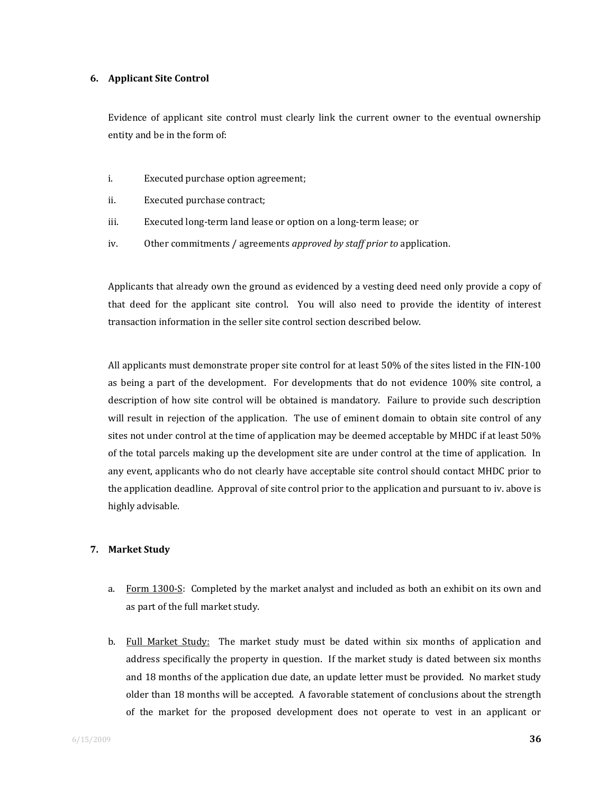#### **6. Applicant Site Control**

Evidence of applicant site control must clearly link the current owner to the eventual ownership entity and be in the form of:

- i. Executed purchase option agreement;
- ii. Executed purchase contract;
- iii. Executed long‐term land lease or option on a long‐term lease; or
- iv. Other commitments / agreements *approved by staff prior to* application.

Applicants that already own the ground as evidenced by a vesting deed need only provide a copy of that deed for the applicant site control. You will also need to provide the identity of interest transaction information in the seller site control section described below.

All applicants must demonstrate proper site control for at least 50% of the sites listed in the FIN‐100 as being a part of the development. For developments that do not evidence 100% site control, a description of how site control will be obtained is mandatory. Failure to provide such description will result in rejection of the application. The use of eminent domain to obtain site control of any sites not under control at the time of application may be deemed acceptable by MHDC if at least 50% of the total parcels making up the development site are under control at the time of application. In any event, applicants who do not clearly have acceptable site control should contact MHDC prior to the application deadline. Approval of site control prior to the application and pursuant to iv. above is highly advisable.

#### **7. Market Study**

- a. Form 1300-S: Completed by the market analyst and included as both an exhibit on its own and as part of the full market study.
- b. Full Market Study: The market study must be dated within six months of application and address specifically the property in question. If the market study is dated between six months and 18 months of the application due date, an update letter must be provided. No market study older than 18 months will be accepted. A favorable statement of conclusions about the strength of the market for the proposed development does not operate to vest in an applicant or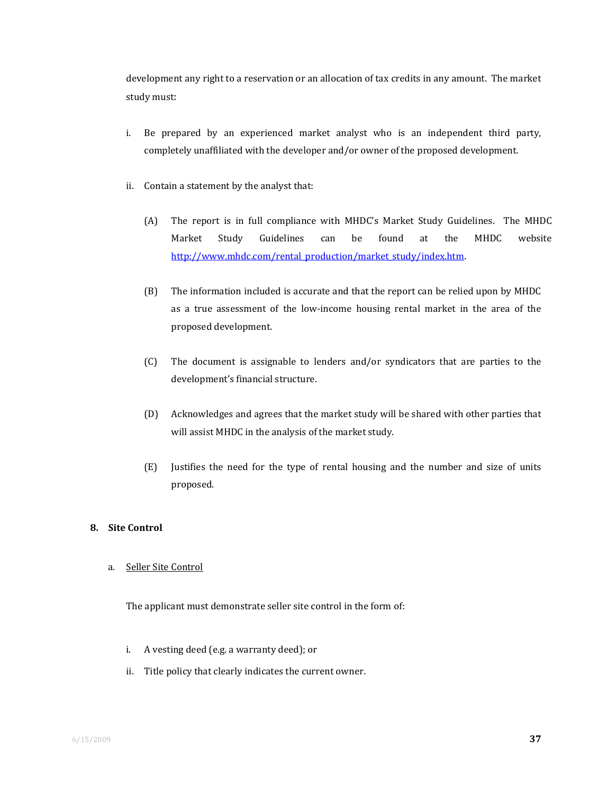development any right to a reservation or an allocation of tax credits in any amount. The market study must:

- i. Be prepared by an experienced market analyst who is an independent third party, completely unaffiliated with the developer and/or owner of the proposed development.
- ii. Contain a statement by the analyst that:
	- (A) The report is in full compliance with MHDC's Market Study Guidelines. The MHDC Market Study Guidelines can be found at the MHDC website http://www.mhdc.com/rental\_production/market\_study/index.htm.
	- (B) The information included is accurate and that the report can be relied upon by MHDC as a true assessment of the low-income housing rental market in the area of the proposed development.
	- (C) The document is assignable to lenders and/or syndicators that are parties to the development's financial structure.
	- (D) Acknowledges and agrees that the market study will be shared with other parties that will assist MHDC in the analysis of the market study.
	- (E) Justifies the need for the type of rental housing and the number and size of units proposed.

#### **8. Site Control**

a. Seller Site Control

The applicant must demonstrate seller site control in the form of:

- i. A vesting deed (e.g. a warranty deed); or
- ii. Title policy that clearly indicates the current owner.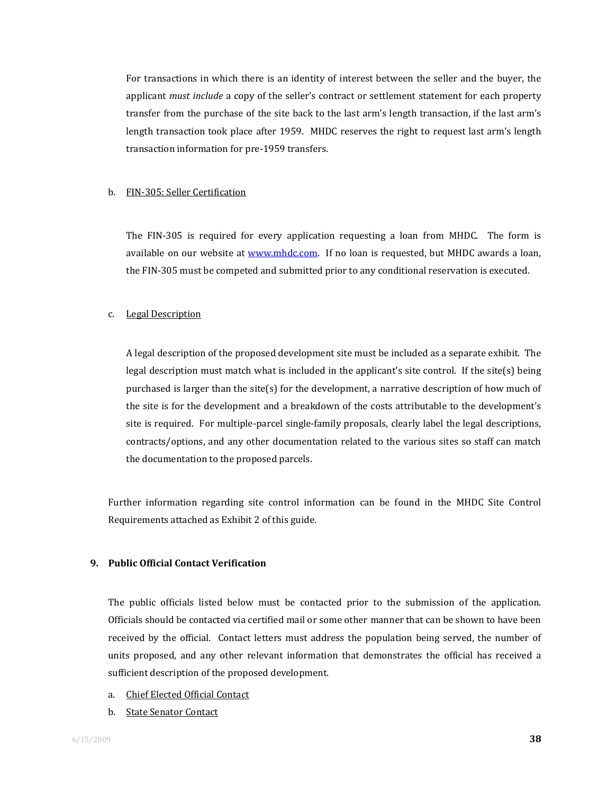For transactions in which there is an identity of interest between the seller and the buyer, the applicant *must include* a copy of the seller's contract or settlement statement for each property transfer from the purchase of the site back to the last arm's length transaction, if the last arm's length transaction took place after 1959. MHDC reserves the right to request last arm's length transaction information for pre‐1959 transfers.

#### b. FIN‐305: Seller Certification

The FIN-305 is required for every application requesting a loan from MHDC. The form is available on our website at www.mhdc.com. If no loan is requested, but MHDC awards a loan, the FIN‐305 must be competed and submitted prior to any conditional reservation is executed.

#### c. Legal Description

A legal description of the proposed development site must be included as a separate exhibit. The legal description must match what is included in the applicant's site control. If the site(s) being purchased is larger than the site(s) for the development, a narrative description of how much of the site is for the development and a breakdown of the costs attributable to the development's site is required. For multiple‐parcel single‐family proposals, clearly label the legal descriptions, contracts/options, and any other documentation related to the various sites so staff can match the documentation to the proposed parcels.

Further information regarding site control information can be found in the MHDC Site Control Requirements attached as Exhibit 2 of this guide.

#### **9. Public Official Contact Verification**

The public officials listed below must be contacted prior to the submission of the application. Officials should be contacted via certified mail or some other manner that can be shown to have been received by the official. Contact letters must address the population being served, the number of units proposed, and any other relevant information that demonstrates the official has received a sufficient description of the proposed development.

- a. Chief Elected Official Contact
- b. State Senator Contact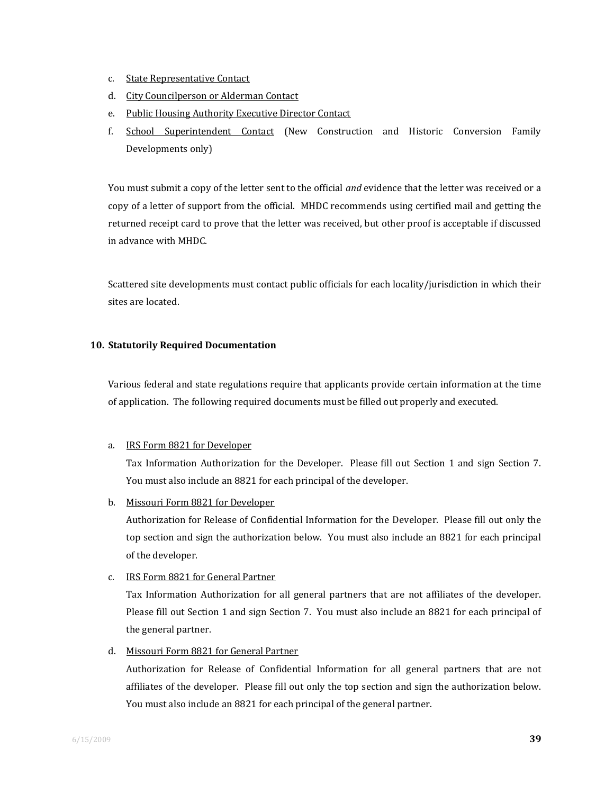- c. State Representative Contact
- d. City Councilperson or Alderman Contact
- e. Public Housing Authority Executive Director Contact
- f. School Superintendent Contact (New Construction and Historic Conversion Family Developments only)

You must submit a copy of the letter sent to the official *and* evidence that the letter was received or a copy of a letter of support from the official. MHDC recommends using certified mail and getting the returned receipt card to prove that the letter was received, but other proof is acceptable if discussed in advance with MHDC.

Scattered site developments must contact public officials for each locality/jurisdiction in which their sites are located.

#### **10. Statutorily Required Documentation**

Various federal and state regulations require that applicants provide certain information at the time of application. The following required documents must be filled out properly and executed.

#### a. IRS Form 8821 for Developer

Tax Information Authorization for the Developer. Please fill out Section 1 and sign Section 7. You must also include an 8821 for each principal of the developer.

b. Missouri Form 8821 for Developer

Authorization for Release of Confidential Information for the Developer. Please fill out only the top section and sign the authorization below. You must also include an 8821 for each principal of the developer.

#### c. IRS Form 8821 for General Partner

Tax Information Authorization for all general partners that are not affiliates of the developer. Please fill out Section 1 and sign Section 7. You must also include an 8821 for each principal of the general partner.

d. Missouri Form 8821 for General Partner

Authorization for Release of Confidential Information for all general partners that are not affiliates of the developer. Please fill out only the top section and sign the authorization below. You must also include an 8821 for each principal of the general partner.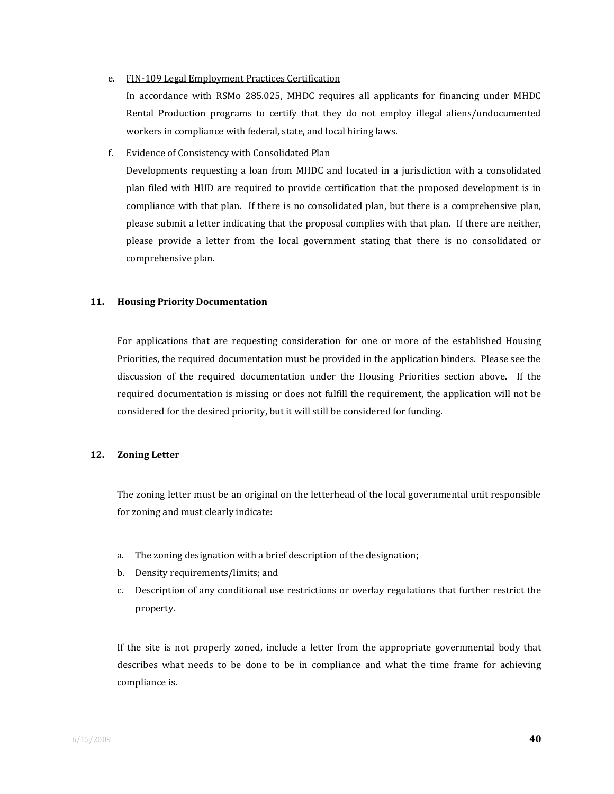#### e. FIN‐109 Legal Employment Practices Certification

In accordance with RSMo 285.025, MHDC requires all applicants for financing under MHDC Rental Production programs to certify that they do not employ illegal aliens/undocumented workers in compliance with federal, state, and local hiring laws.

#### f. Evidence of Consistency with Consolidated Plan

Developments requesting a loan from MHDC and located in a jurisdiction with a consolidated plan filed with HUD are required to provide certification that the proposed development is in compliance with that plan. If there is no consolidated plan, but there is a comprehensive plan, please submit a letter indicating that the proposal complies with that plan. If there are neither, please provide a letter from the local government stating that there is no consolidated or comprehensive plan.

#### **11. Housing Priority Documentation**

For applications that are requesting consideration for one or more of the established Housing Priorities, the required documentation must be provided in the application binders. Please see the discussion of the required documentation under the Housing Priorities section above. If the required documentation is missing or does not fulfill the requirement, the application will not be considered for the desired priority, but it will still be considered for funding.

#### **12. Zoning Letter**

The zoning letter must be an original on the letterhead of the local governmental unit responsible for zoning and must clearly indicate:

- a. The zoning designation with a brief description of the designation;
- b. Density requirements/limits; and
- c. Description of any conditional use restrictions or overlay regulations that further restrict the property.

If the site is not properly zoned, include a letter from the appropriate governmental body that describes what needs to be done to be in compliance and what the time frame for achieving compliance is.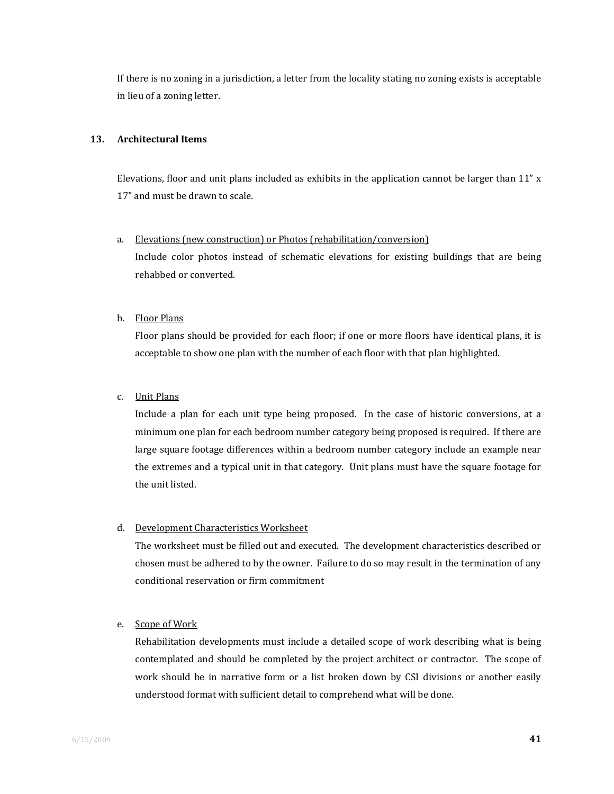If there is no zoning in a jurisdiction, a letter from the locality stating no zoning exists is acceptable in lieu of a zoning letter.

#### **13. Architectural Items**

Elevations, floor and unit plans included as exhibits in the application cannot be larger than  $11'' x$ 17" and must be drawn to scale.

- a. Elevations (new construction) or Photos (rehabilitation/conversion) Include color photos instead of schematic elevations for existing buildings that are being rehabbed or converted.
- b. Floor Plans

Floor plans should be provided for each floor; if one or more floors have identical plans, it is acceptable to show one plan with the number of each floor with that plan highlighted.

#### c. Unit Plans

Include a plan for each unit type being proposed. In the case of historic conversions, at a minimum one plan for each bedroom number category being proposed is required. If there are large square footage differences within a bedroom number category include an example near the extremes and a typical unit in that category. Unit plans must have the square footage for the unit listed.

#### d. Development Characteristics Worksheet

The worksheet must be filled out and executed. The development characteristics described or chosen must be adhered to by the owner. Failure to do so may result in the termination of any conditional reservation or firm commitment

#### e. Scope of Work

Rehabilitation developments must include a detailed scope of work describing what is being contemplated and should be completed by the project architect or contractor. The scope of work should be in narrative form or a list broken down by CSI divisions or another easily understood format with sufficient detail to comprehend what will be done.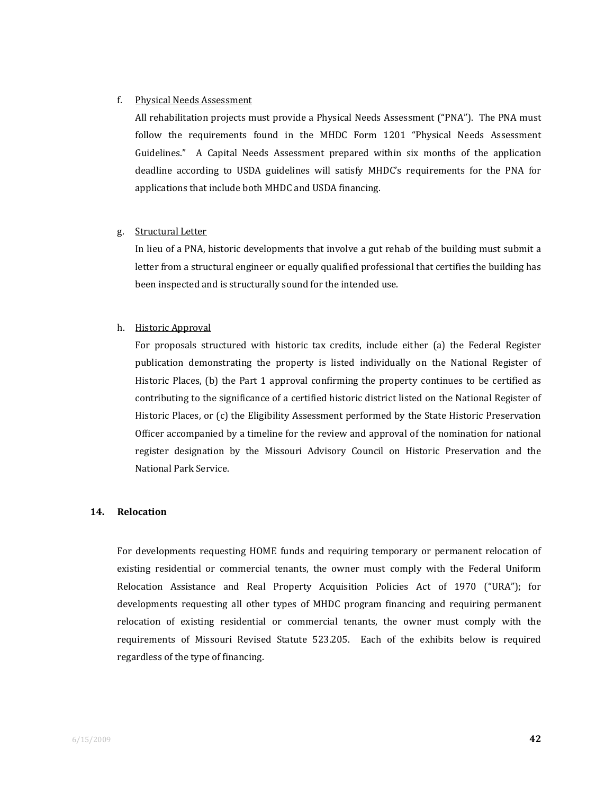#### f. Physical Needs Assessment

All rehabilitation projects must provide a Physical Needs Assessment ("PNA"). The PNA must follow the requirements found in the MHDC Form 1201 "Physical Needs Assessment Guidelines." A Capital Needs Assessment prepared within six months of the application deadline according to USDA guidelines will satisfy MHDC's requirements for the PNA for applications that include both MHDC and USDA financing.

#### g. Structural Letter

In lieu of a PNA, historic developments that involve a gut rehab of the building must submit a letter from a structural engineer or equally qualified professional that certifies the building has been inspected and is structurally sound for the intended use.

#### h. Historic Approval

For proposals structured with historic tax credits, include either (a) the Federal Register publication demonstrating the property is listed individually on the National Register of Historic Places, (b) the Part 1 approval confirming the property continues to be certified as contributing to the significance of a certified historic district listed on the National Register of Historic Places, or (c) the Eligibility Assessment performed by the State Historic Preservation Officer accompanied by a timeline for the review and approval of the nomination for national register designation by the Missouri Advisory Council on Historic Preservation and the National Park Service.

#### **14. Relocation**

For developments requesting HOME funds and requiring temporary or permanent relocation of existing residential or commercial tenants, the owner must comply with the Federal Uniform Relocation Assistance and Real Property Acquisition Policies Act of 1970 ("URA"); for developments requesting all other types of MHDC program financing and requiring permanent relocation of existing residential or commercial tenants, the owner must comply with the requirements of Missouri Revised Statute 523.205. Each of the exhibits below is required regardless of the type of financing.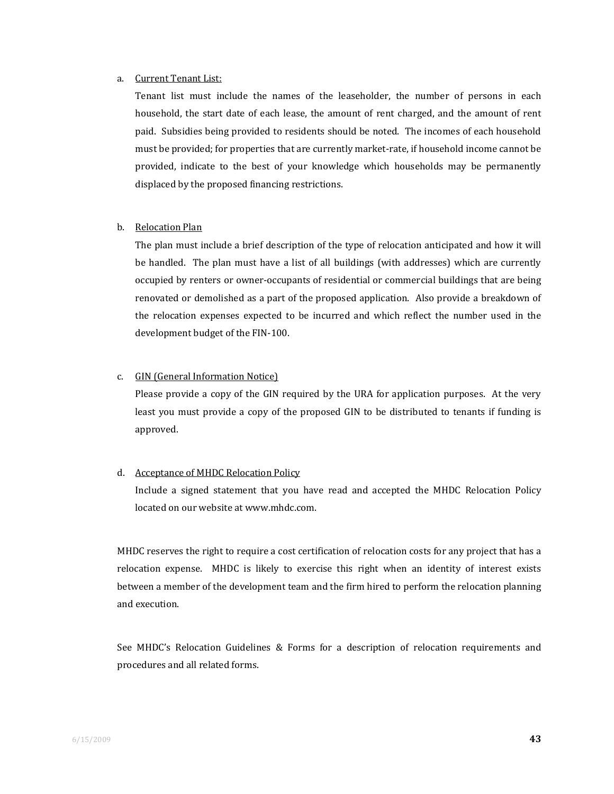#### a. Current Tenant List:

Tenant list must include the names of the leaseholder, the number of persons in each household, the start date of each lease, the amount of rent charged, and the amount of rent paid. Subsidies being provided to residents should be noted. The incomes of each household must be provided; for properties that are currently market-rate, if household income cannot be provided, indicate to the best of your knowledge which households may be permanently displaced by the proposed financing restrictions.

#### b. Relocation Plan

The plan must include a brief description of the type of relocation anticipated and how it will be handled. The plan must have a list of all buildings (with addresses) which are currently occupied by renters or owner‐occupants of residential or commercial buildings that are being renovated or demolished as a part of the proposed application. Also provide a breakdown of the relocation expenses expected to be incurred and which reflect the number used in the development budget of the FIN‐100.

#### c. GIN (General Information Notice)

Please provide a copy of the GIN required by the URA for application purposes. At the very least you must provide a copy of the proposed GIN to be distributed to tenants if funding is approved.

#### d. Acceptance of MHDC Relocation Policy

Include a signed statement that you have read and accepted the MHDC Relocation Policy located on our website at www.mhdc.com.

 MHDC reserves the right to require a cost certification of relocation costs for any project that has a relocation expense. MHDC is likely to exercise this right when an identity of interest exists between a member of the development team and the firm hired to perform the relocation planning and execution.

See MHDC's Relocation Guidelines & Forms for a description of relocation requirements and procedures and all related forms.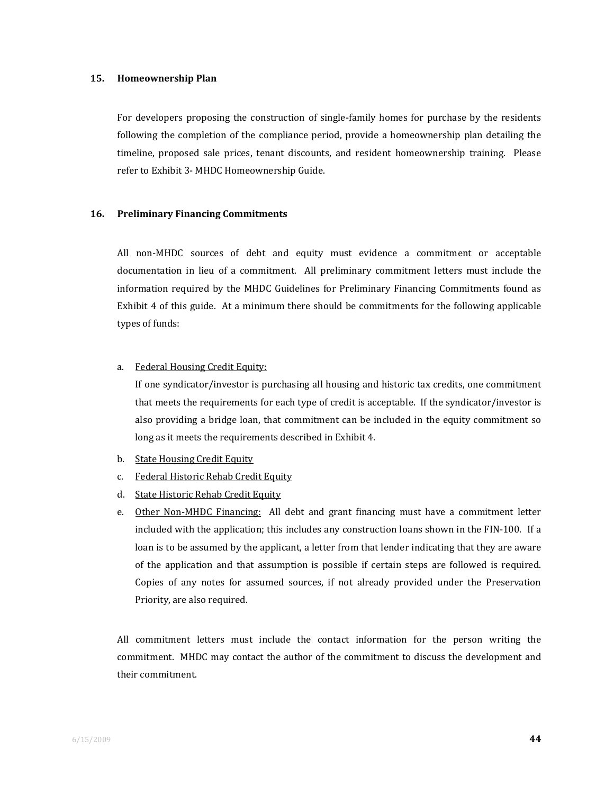#### **15. Homeownership Plan**

For developers proposing the construction of single-family homes for purchase by the residents following the completion of the compliance period, provide a homeownership plan detailing the timeline, proposed sale prices, tenant discounts, and resident homeownership training. Please refer to Exhibit 3‐ MHDC Homeownership Guide.

#### **16. Preliminary Financing Commitments**

All non-MHDC sources of debt and equity must evidence a commitment or acceptable documentation in lieu of a commitment. All preliminary commitment letters must include the information required by the MHDC Guidelines for Preliminary Financing Commitments found as Exhibit 4 of this guide. At a minimum there should be commitments for the following applicable types of funds:

#### a. Federal Housing Credit Equity:

If one syndicator/investor is purchasing all housing and historic tax credits, one commitment that meets the requirements for each type of credit is acceptable. If the syndicator/investor is also providing a bridge loan, that commitment can be included in the equity commitment so long as it meets the requirements described in Exhibit 4.

- b. State Housing Credit Equity
- c. Federal Historic Rehab Credit Equity
- d. State Historic Rehab Credit Equity
- e. Other Non-MHDC Financing: All debt and grant financing must have a commitment letter included with the application; this includes any construction loans shown in the FIN‐100. If a loan is to be assumed by the applicant, a letter from that lender indicating that they are aware of the application and that assumption is possible if certain steps are followed is required. Copies of any notes for assumed sources, if not already provided under the Preservation Priority, are also required.

All commitment letters must include the contact information for the person writing the commitment. MHDC may contact the author of the commitment to discuss the development and their commitment.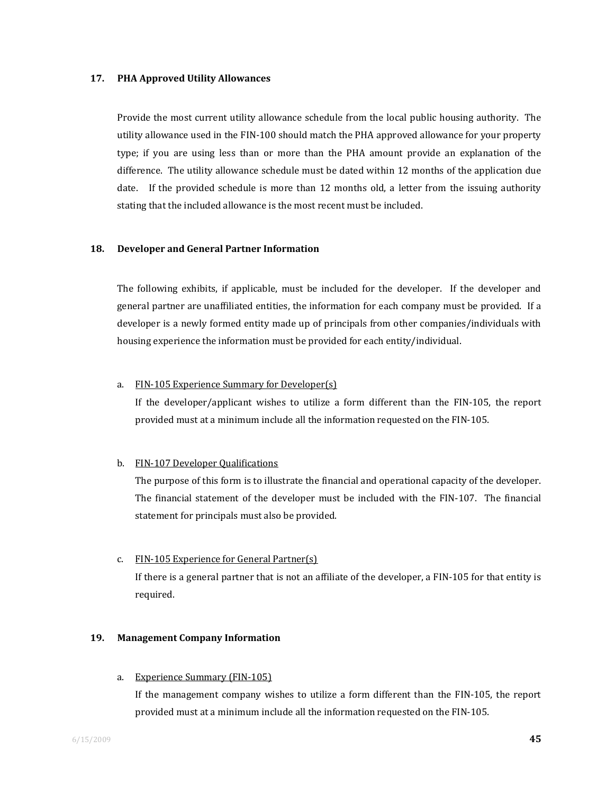#### **17. PHA Approved Utility Allowances**

Provide the most current utility allowance schedule from the local public housing authority. The utility allowance used in the FIN‐100 should match the PHA approved allowance for your property type; if you are using less than or more than the PHA amount provide an explanation of the difference. The utility allowance schedule must be dated within 12 months of the application due date. If the provided schedule is more than 12 months old, a letter from the issuing authority stating that the included allowance is the most recent must be included.

#### **18. Developer and General Partner Information**

The following exhibits, if applicable, must be included for the developer. If the developer and general partner are unaffiliated entities, the information for each company must be provided. If a developer is a newly formed entity made up of principals from other companies/individuals with housing experience the information must be provided for each entity/individual.

#### a. FIN‐105 Experience Summary for Developer(s)

If the developer/applicant wishes to utilize a form different than the FIN‐105, the report provided must at a minimum include all the information requested on the FIN‐105.

#### b. FIN‐107 Developer Qualifications

The purpose of this form is to illustrate the financial and operational capacity of the developer. The financial statement of the developer must be included with the FIN-107. The financial statement for principals must also be provided.

#### c. FIN‐105 Experience for General Partner(s)

If there is a general partner that is not an affiliate of the developer, a FIN‐105 for that entity is required.

#### **19. Management Company Information**

a. Experience Summary (FIN‐105)

If the management company wishes to utilize a form different than the FIN‐105, the report provided must at a minimum include all the information requested on the FIN‐105.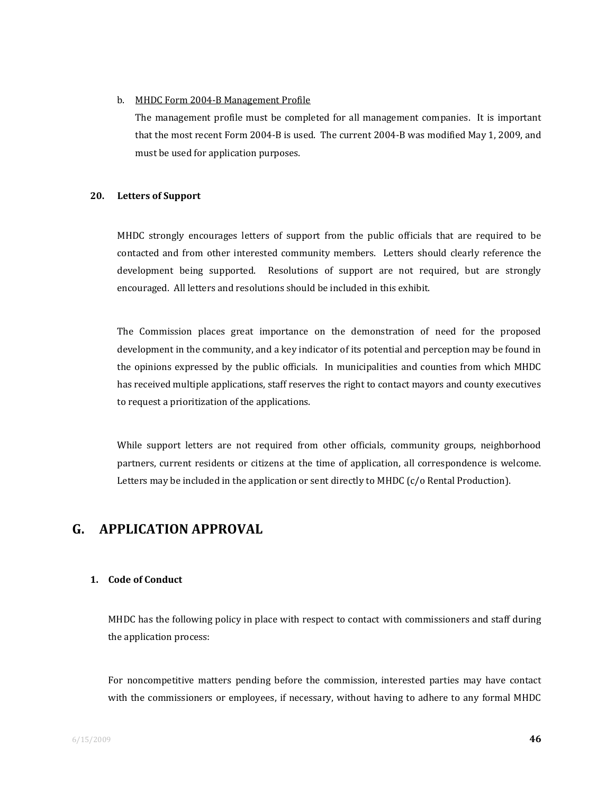#### b. MHDC Form 2004‐B Management Profile

The management profile must be completed for all management companies. It is important that the most recent Form 2004‐B is used. The current 2004‐B was modified May 1, 2009, and must be used for application purposes.

#### **20. Letters of Support**

MHDC strongly encourages letters of support from the public officials that are required to be contacted and from other interested community members. Letters should clearly reference the development being supported. Resolutions of support are not required, but are strongly encouraged. All letters and resolutions should be included in this exhibit.

The Commission places great importance on the demonstration of need for the proposed development in the community, and a key indicator of its potential and perception may be found in the opinions expressed by the public officials. In municipalities and counties from which MHDC has received multiple applications, staff reserves the right to contact mayors and county executives to request a prioritization of the applications.

While support letters are not required from other officials, community groups, neighborhood partners, current residents or citizens at the time of application, all correspondence is welcome. Letters may be included in the application or sent directly to MHDC (c/o Rental Production).

## **G. APPLICATION APPROVAL**

#### **1. Code of Conduct**

MHDC has the following policy in place with respect to contact with commissioners and staff during the application process:

For noncompetitive matters pending before the commission, interested parties may have contact with the commissioners or employees, if necessary, without having to adhere to any formal MHDC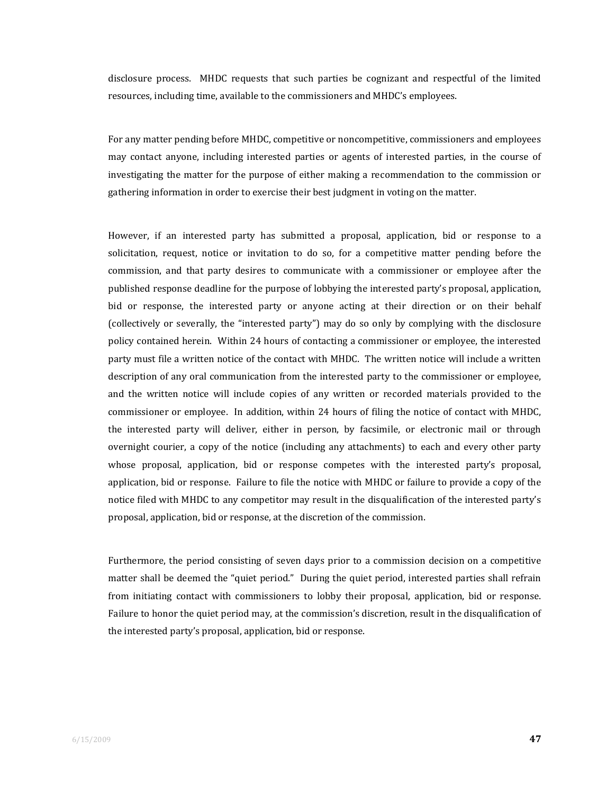disclosure process. MHDC requests that such parties be cognizant and respectful of the limited resources, including time, available to the commissioners and MHDC's employees.

For any matter pending before MHDC, competitive or noncompetitive, commissioners and employees may contact anyone, including interested parties or agents of interested parties, in the course of investigating the matter for the purpose of either making a recommendation to the commission or gathering information in order to exercise their best judgment in voting on the matter.

However, if an interested party has submitted a proposal, application, bid or response to a solicitation, request, notice or invitation to do so, for a competitive matter pending before the commission, and that party desires to communicate with a commissioner or employee after the published response deadline for the purpose of lobbying the interested party's proposal, application, bid or response, the interested party or anyone acting at their direction or on their behalf (collectively or severally, the "interested party") may do so only by complying with the disclosure policy contained herein. Within 24 hours of contacting a commissioner or employee, the interested party must file a written notice of the contact with MHDC. The written notice will include a written description of any oral communication from the interested party to the commissioner or employee, and the written notice will include copies of any written or recorded materials provided to the commissioner or employee. In addition, within 24 hours of filing the notice of contact with MHDC, the interested party will deliver, either in person, by facsimile, or electronic mail or through overnight courier, a copy of the notice (including any attachments) to each and every other party whose proposal, application, bid or response competes with the interested party's proposal, application, bid or response. Failure to file the notice with MHDC or failure to provide a copy of the notice filed with MHDC to any competitor may result in the disqualification of the interested party's proposal, application, bid or response, at the discretion of the commission.

Furthermore, the period consisting of seven days prior to a commission decision on a competitive matter shall be deemed the "quiet period." During the quiet period, interested parties shall refrain from initiating contact with commissioners to lobby their proposal, application, bid or response. Failure to honor the quiet period may, at the commission's discretion, result in the disqualification of the interested party's proposal, application, bid or response.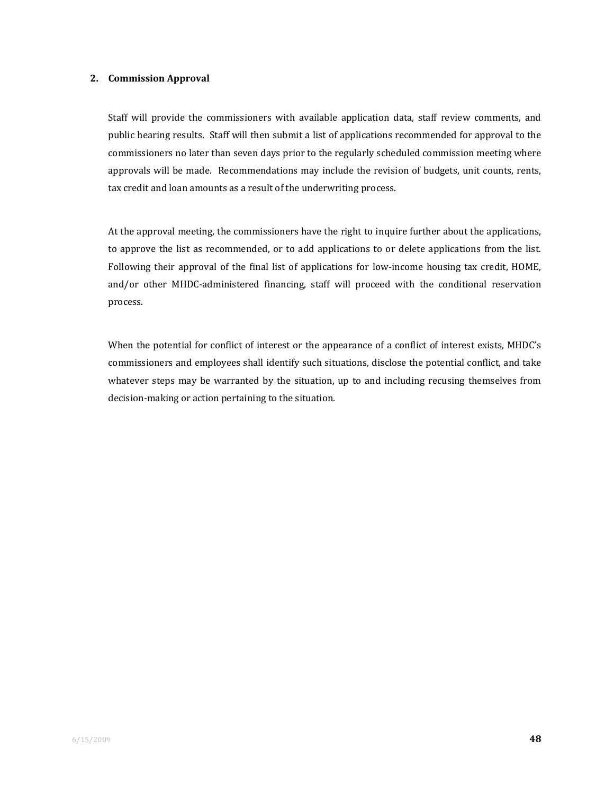#### **2. Commission Approval**

Staff will provide the commissioners with available application data, staff review comments, and public hearing results. Staff will then submit a list of applications recommended for approval to the commissioners no later than seven days prior to the regularly scheduled commission meeting where approvals will be made. Recommendations may include the revision of budgets, unit counts, rents, tax credit and loan amounts as a result of the underwriting process.

At the approval meeting, the commissioners have the right to inquire further about the applications, to approve the list as recommended, or to add applications to or delete applications from the list. Following their approval of the final list of applications for low-income housing tax credit, HOME, and/or other MHDC-administered financing, staff will proceed with the conditional reservation process.

When the potential for conflict of interest or the appearance of a conflict of interest exists, MHDC's commissioners and employees shall identify such situations, disclose the potential conflict, and take whatever steps may be warranted by the situation, up to and including recusing themselves from decision‐making or action pertaining to the situation.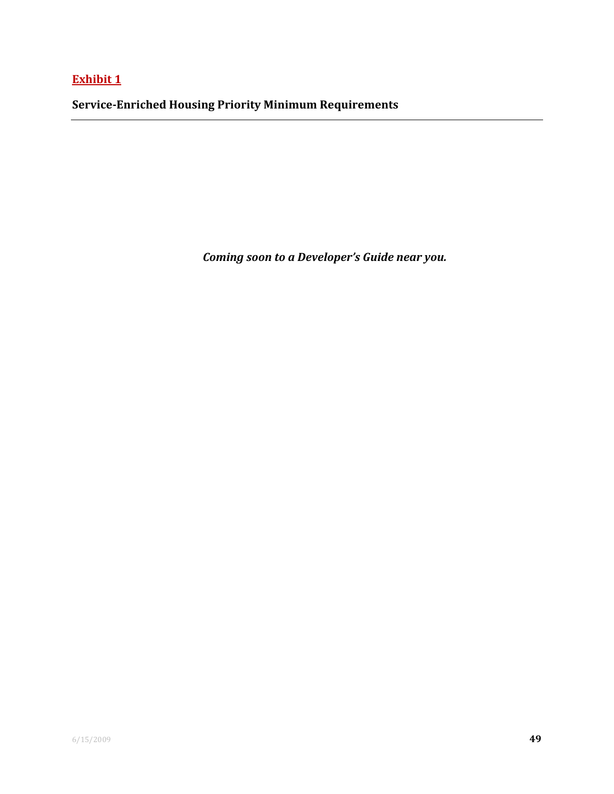**Exhibit 1**

**ServiceEnriched Housing Priority Minimum Requirements**

*Coming soon to a Developer's Guide near you.*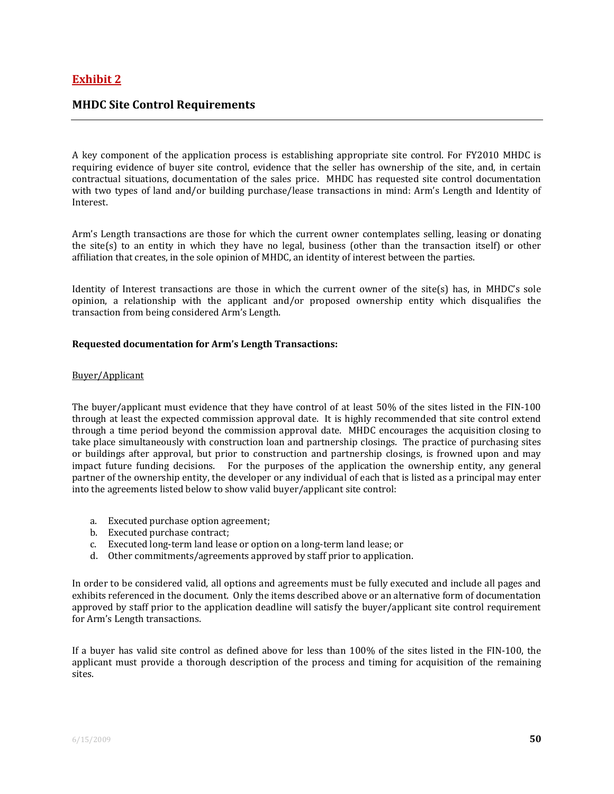#### **MHDC Site Control Requirements**

A key component of the application process is establishing appropriate site control. For FY2010 MHDC is requiring evidence of buyer site control, evidence that the seller has ownership of the site, and, in certain contractual situations, documentation of the sales price. MHDC has requested site control documentation with two types of land and/or building purchase/lease transactions in mind: Arm's Length and Identity of Interest.

Arm's Length transactions are those for which the current owner contemplates selling, leasing or donating the site(s) to an entity in which they have no legal, business (other than the transaction itself) or other affiliation that creates, in the sole opinion of MHDC, an identity of interest between the parties.

Identity of Interest transactions are those in which the current owner of the site(s) has, in MHDC's sole opinion, a relationship with the applicant and/or proposed ownership entity which disqualifies the transaction from being considered Arm's Length.

#### **Requested documentation for Arm's Length Transactions:**

#### Buyer/Applicant

The buyer/applicant must evidence that they have control of at least 50% of the sites listed in the FIN-100 through at least the expected commission approval date. It is highly recommended that site control extend through a time period beyond the commission approval date. MHDC encourages the acquisition closing to take place simultaneously with construction loan and partnership closings. The practice of purchasing sites or buildings after approval, but prior to construction and partnership closings, is frowned upon and may impact future funding decisions. For the purposes of the application the ownership entity, any general partner of the ownership entity, the developer or any individual of each that is listed as a principal may enter into the agreements listed below to show valid buyer/applicant site control:

- a. Executed purchase option agreement;
- b. Executed purchase contract;
- c. Executed long‐term land lease or option on a long‐term land lease; or
- d. Other commitments/agreements approved by staff prior to application.

In order to be considered valid, all options and agreements must be fully executed and include all pages and exhibits referenced in the document. Only the items described above or an alternative form of documentation approved by staff prior to the application deadline will satisfy the buyer/applicant site control requirement for Arm's Length transactions.

If a buyer has valid site control as defined above for less than 100% of the sites listed in the FIN‐100, the applicant must provide a thorough description of the process and timing for acquisition of the remaining sites.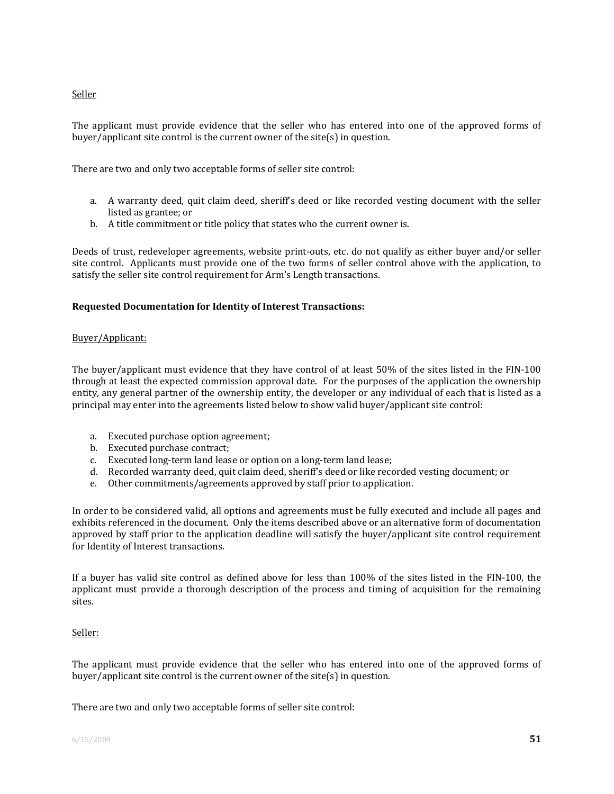Seller

The applicant must provide evidence that the seller who has entered into one of the approved forms of buyer/applicant site control is the current owner of the site(s) in question.

There are two and only two acceptable forms of seller site control:

- a. A warranty deed, quit claim deed, sheriff's deed or like recorded vesting document with the seller listed as grantee; or
- b. A title commitment or title policy that states who the current owner is.

Deeds of trust, redeveloper agreements, website print‐outs, etc. do not qualify as either buyer and/or seller site control. Applicants must provide one of the two forms of seller control above with the application, to satisfy the seller site control requirement for Arm's Length transactions.

#### **Requested Documentation for Identity of Interest Transactions:**

#### Buyer/Applicant:

The buyer/applicant must evidence that they have control of at least 50% of the sites listed in the FIN-100 through at least the expected commission approval date. For the purposes of the application the ownership entity, any general partner of the ownership entity, the developer or any individual of each that is listed as a principal may enter into the agreements listed below to show valid buyer/applicant site control:

- a. Executed purchase option agreement;
- b. Executed purchase contract;
- c. Executed long‐term land lease or option on a long‐term land lease;
- d. Recorded warranty deed, quit claim deed, sheriff's deed or like recorded vesting document; or
- e. Other commitments/agreements approved by staff prior to application.

In order to be considered valid, all options and agreements must be fully executed and include all pages and exhibits referenced in the document. Only the items described above or an alternative form of documentation approved by staff prior to the application deadline will satisfy the buyer/applicant site control requirement for Identity of Interest transactions.

If a buyer has valid site control as defined above for less than 100% of the sites listed in the FIN‐100, the applicant must provide a thorough description of the process and timing of acquisition for the remaining sites.

#### Seller:

The applicant must provide evidence that the seller who has entered into one of the approved forms of buyer/applicant site control is the current owner of the site(s) in question.

There are two and only two acceptable forms of seller site control: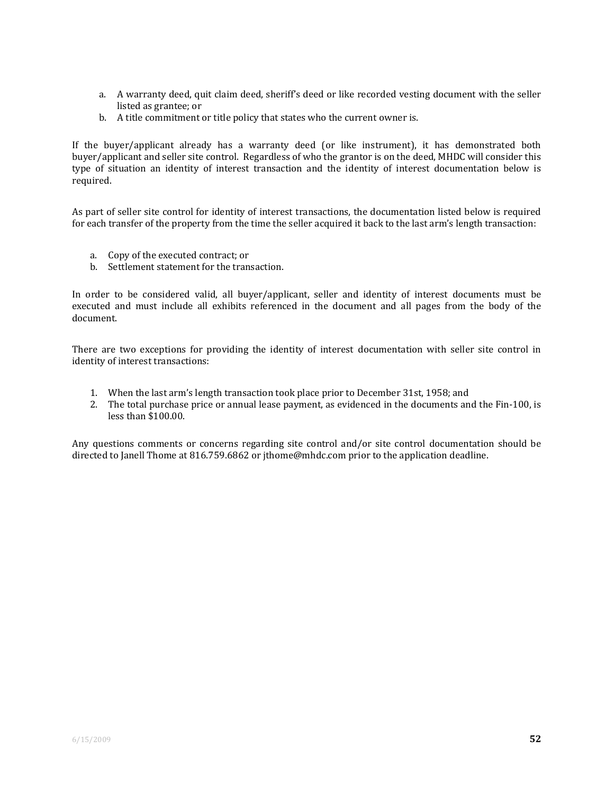- a. A warranty deed, quit claim deed, sheriff's deed or like recorded vesting document with the seller listed as grantee; or
- b. A title commitment or title policy that states who the current owner is.

If the buyer/applicant already has a warranty deed (or like instrument), it has demonstrated both buyer/applicant and seller site control. Regardless of who the grantor is on the deed, MHDC will consider this type of situation an identity of interest transaction and the identity of interest documentation below is required.

As part of seller site control for identity of interest transactions, the documentation listed below is required for each transfer of the property from the time the seller acquired it back to the last arm's length transaction:

- a. Copy of the executed contract; or
- b. Settlement statement for the transaction.

In order to be considered valid, all buyer/applicant, seller and identity of interest documents must be executed and must include all exhibits referenced in the document and all pages from the body of the document.

There are two exceptions for providing the identity of interest documentation with seller site control in identity of interest transactions:

- 1. When the last arm's length transaction took place prior to December 31st, 1958; and
- 2. The total purchase price or annual lease payment, as evidenced in the documents and the Fin‐100, is less than \$100.00.

Any questions comments or concerns regarding site control and/or site control documentation should be directed to Janell Thome at 816.759.6862 or jthome@mhdc.com prior to the application deadline.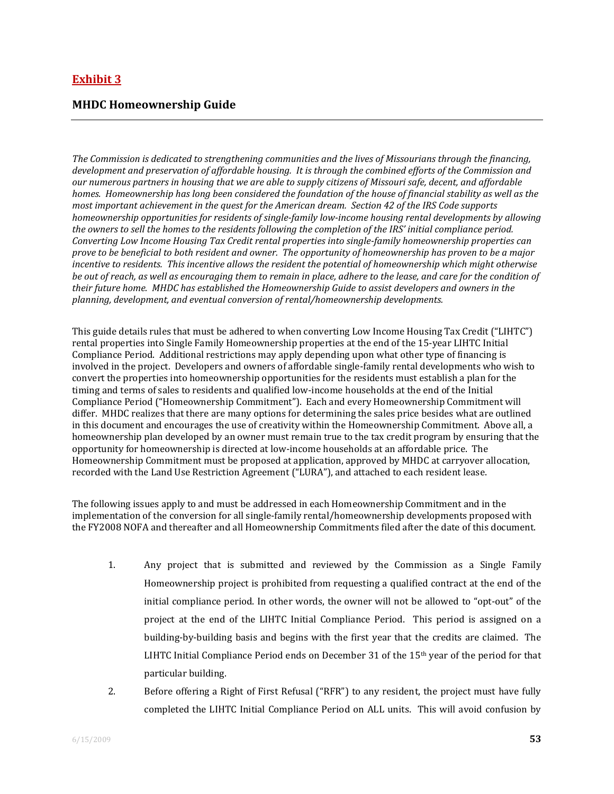## **Exhibit 3**

#### **MHDC Homeownership Guide**

*The Commission is dedicated to strengthening communities and the lives of Missourians through the financing,* development and preservation of affordable housing. It is through the combined efforts of the Commission and our numerous partners in housing that we are able to supply citizens of Missouri safe, decent, and affordable homes. Homeownership has long been considered the foundation of the house of financial stability as well as the most important achievement in the quest for the American dream. Section 42 of the IRS Code supports *homeownership opportunities for residents of singlefamily lowincome housing rental developments by allowing* the owners to sell the homes to the residents following the completion of the IRS' initial compliance period. *Converting Low Income Housing Tax Credit rental properties into singlefamily homeownership properties can* prove to be beneficial to both resident and owner. The opportunity of homeownership has proven to be a major *incentive to residents. This incentive allows the resident the potential of homeownership which might otherwise* be out of reach, as well as encouraging them to remain in place, adhere to the lease, and care for the condition of *their future home. MHDC has established the Homeownership Guide to assist developers and owners in the planning, development, and eventual conversion of rental/homeownership developments.*

This guide details rules that must be adhered to when converting Low Income Housing Tax Credit ("LIHTC") rental properties into Single Family Homeownership properties at the end of the 15‐year LIHTC Initial Compliance Period. Additional restrictions may apply depending upon what other type of financing is involved in the project. Developers and owners of affordable single‐family rental developments who wish to convert the properties into homeownership opportunities for the residents must establish a plan for the timing and terms of sales to residents and qualified low-income households at the end of the Initial Compliance Period ("Homeownership Commitment"). Each and every Homeownership Commitment will differ. MHDC realizes that there are many options for determining the sales price besides what are outlined in this document and encourages the use of creativity within the Homeownership Commitment. Above all, a homeownership plan developed by an owner must remain true to the tax credit program by ensuring that the opportunity for homeownership is directed at low‐income households at an affordable price. The Homeownership Commitment must be proposed at application, approved by MHDC at carryover allocation, recorded with the Land Use Restriction Agreement ("LURA"), and attached to each resident lease.

The following issues apply to and must be addressed in each Homeownership Commitment and in the implementation of the conversion for all single‐family rental/homeownership developments proposed with the FY2008 NOFA and thereafter and all Homeownership Commitments filed after the date of this document.

- 1. Any project that is submitted and reviewed by the Commission as a Single Family Homeownership project is prohibited from requesting a qualified contract at the end of the initial compliance period. In other words, the owner will not be allowed to "opt-out" of the project at the end of the LIHTC Initial Compliance Period. This period is assigned on a building‐by‐building basis and begins with the first year that the credits are claimed. The LIHTC Initial Compliance Period ends on December 31 of the  $15<sup>th</sup>$  year of the period for that particular building.
- 2. Before offering a Right of First Refusal ("RFR") to any resident, the project must have fully completed the LIHTC Initial Compliance Period on ALL units. This will avoid confusion by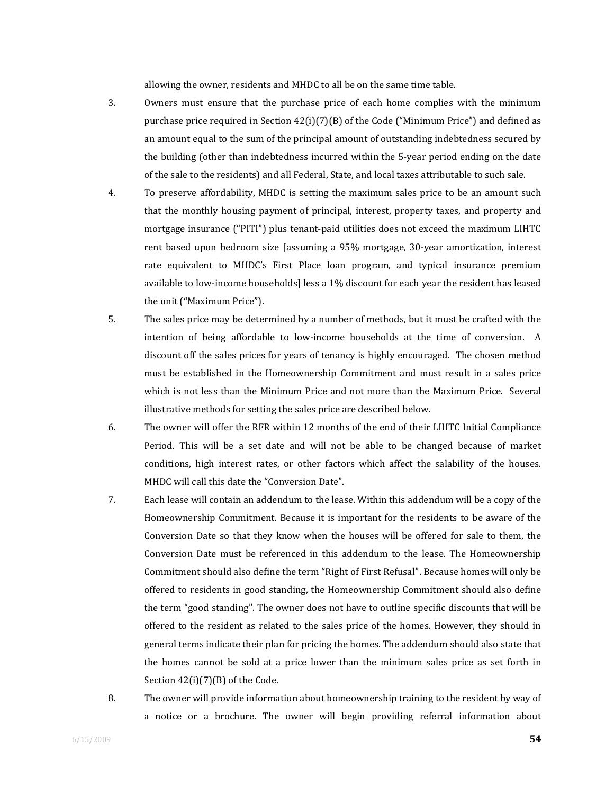allowing the owner, residents and MHDC to all be on the same time table.

- 3. Owners must ensure that the purchase price of each home complies with the minimum purchase price required in Section  $42(i)(7)(B)$  of the Code ("Minimum Price") and defined as an amount equal to the sum of the principal amount of outstanding indebtedness secured by the building (other than indebtedness incurred within the 5‐year period ending on the date of the sale to the residents) and all Federal, State, and local taxes attributable to such sale.
- 4. To preserve affordability, MHDC is setting the maximum sales price to be an amount such that the monthly housing payment of principal, interest, property taxes, and property and mortgage insurance ("PITI") plus tenant-paid utilities does not exceed the maximum LIHTC rent based upon bedroom size [assuming a 95% mortgage, 30-year amortization, interest rate equivalent to MHDC's First Place loan program, and typical insurance premium available to low‐income households] less a 1% discount for each year the resident has leased the unit ("Maximum Price").
- 5. The sales price may be determined by a number of methods, but it must be crafted with the intention of being affordable to low-income households at the time of conversion. A discount off the sales prices for years of tenancy is highly encouraged. The chosen method must be established in the Homeownership Commitment and must result in a sales price which is not less than the Minimum Price and not more than the Maximum Price. Several illustrative methods for setting the sales price are described below.
- 6. The owner will offer the RFR within 12 months of the end of their LIHTC Initial Compliance Period. This will be a set date and will not be able to be changed because of market conditions, high interest rates, or other factors which affect the salability of the houses. MHDC will call this date the "Conversion Date".
- 7. Each lease will contain an addendum to the lease. Within this addendum will be a copy of the Homeownership Commitment. Because it is important for the residents to be aware of the Conversion Date so that they know when the houses will be offered for sale to them, the Conversion Date must be referenced in this addendum to the lease. The Homeownership Commitment should also define the term "Right of First Refusal". Because homes will only be offered to residents in good standing, the Homeownership Commitment should also define the term "good standing". The owner does not have to outline specific discounts that will be offered to the resident as related to the sales price of the homes. However, they should in general terms indicate their plan for pricing the homes. The addendum should also state that the homes cannot be sold at a price lower than the minimum sales price as set forth in Section 42(i)(7)(B) of the Code.
- 8. The owner will provide information about homeownership training to the resident by way of a notice or a brochure. The owner will begin providing referral information about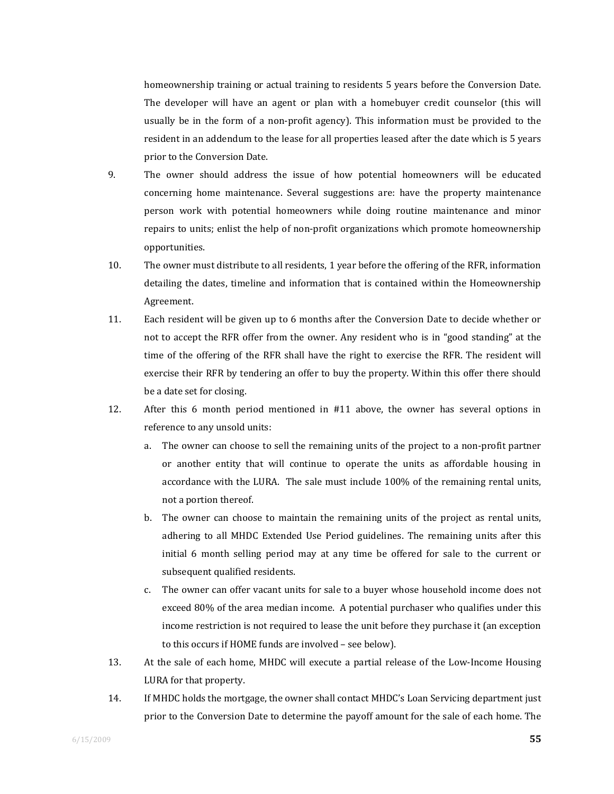homeownership training or actual training to residents 5 years before the Conversion Date. The developer will have an agent or plan with a homebuyer credit counselor (this will usually be in the form of a non-profit agency). This information must be provided to the resident in an addendum to the lease for all properties leased after the date which is 5 years prior to the Conversion Date.

- 9. The owner should address the issue of how potential homeowners will be educated concerning home maintenance. Several suggestions are: have the property maintenance person work with potential homeowners while doing routine maintenance and minor repairs to units; enlist the help of non‐profit organizations which promote homeownership opportunities.
- 10. The owner must distribute to all residents, 1 year before the offering of the RFR, information detailing the dates, timeline and information that is contained within the Homeownership Agreement.
- 11. Each resident will be given up to 6 months after the Conversion Date to decide whether or not to accept the RFR offer from the owner. Any resident who is in "good standing" at the time of the offering of the RFR shall have the right to exercise the RFR. The resident will exercise their RFR by tendering an offer to buy the property. Within this offer there should be a date set for closing.
- 12. After this 6 month period mentioned in #11 above, the owner has several options in reference to any unsold units:
	- a. The owner can choose to sell the remaining units of the project to a non‐profit partner or another entity that will continue to operate the units as affordable housing in accordance with the LURA. The sale must include 100% of the remaining rental units, not a portion thereof.
	- b. The owner can choose to maintain the remaining units of the project as rental units, adhering to all MHDC Extended Use Period guidelines. The remaining units after this initial 6 month selling period may at any time be offered for sale to the current or subsequent qualified residents.
	- c. The owner can offer vacant units for sale to a buyer whose household income does not exceed 80% of the area median income. A potential purchaser who qualifies under this income restriction is not required to lease the unit before they purchase it (an exception to this occurs if HOME funds are involved – see below).
- 13. At the sale of each home, MHDC will execute a partial release of the Low-Income Housing LURA for that property.
- 14. If MHDC holds the mortgage, the owner shall contact MHDC's Loan Servicing department just prior to the Conversion Date to determine the payoff amount for the sale of each home. The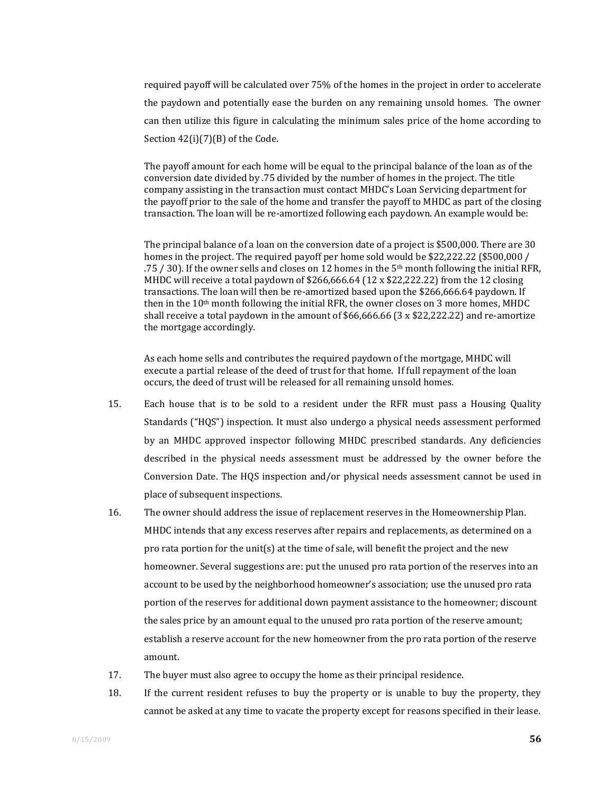required payoff will be calculated over 75% of the homes in the project in order to accelerate the paydown and potentially ease the burden on any remaining unsold homes. The owner can then utilize this figure in calculating the minimum sales price of the home according to Section 42(i)(7)(B) of the Code.

The payoff amount for each home will be equal to the principal balance of the loan as of the conversion date divided by .75 divided by the number of homes in the project. The title company assisting in the transaction must contact MHDC's Loan Servicing department for the payoff prior to the sale of the home and transfer the payoff to MHDC as part of the closing transaction. The loan will be re‐amortized following each paydown. An example would be:

The principal balance of a loan on the conversion date of a project is \$500,000. There are 30 homes in the project. The required payoff per home sold would be \$22,222.22 (\$500,000 / .75 / 30). If the owner sells and closes on 12 homes in the 5th month following the initial RFR, MHDC will receive a total paydown of \$266,666.64 (12 x \$22,222.22) from the 12 closing transactions. The loan will then be re‐amortized based upon the \$266,666.64 paydown. If then in the 10<sup>th</sup> month following the initial RFR, the owner closes on 3 more homes, MHDC shall receive a total paydown in the amount of  $$66,666.66$  (3 x  $$22,222.22$ ) and re-amortize the mortgage accordingly.

As each home sells and contributes the required paydown of the mortgage, MHDC will execute a partial release of the deed of trust for that home. If full repayment of the loan occurs, the deed of trust will be released for all remaining unsold homes.

- 15. Each house that is to be sold to a resident under the RFR must pass a Housing Quality Standards ("HQS") inspection. It must also undergo a physical needs assessment performed by an MHDC approved inspector following MHDC prescribed standards. Any deficiencies described in the physical needs assessment must be addressed by the owner before the Conversion Date. The HQS inspection and/or physical needs assessment cannot be used in place of subsequent inspections.
- 16. The owner should address the issue of replacement reserves in the Homeownership Plan. MHDC intends that any excess reserves after repairs and replacements, as determined on a pro rata portion for the unit(s) at the time of sale, will benefit the project and the new homeowner. Several suggestions are: put the unused pro rata portion of the reserves into an account to be used by the neighborhood homeowner's association; use the unused pro rata portion of the reserves for additional down payment assistance to the homeowner; discount the sales price by an amount equal to the unused pro rata portion of the reserve amount; establish a reserve account for the new homeowner from the pro rata portion of the reserve amount.
- 17. The buyer must also agree to occupy the home as their principal residence.
- 18. If the current resident refuses to buy the property or is unable to buy the property, they cannot be asked at any time to vacate the property except for reasons specified in their lease.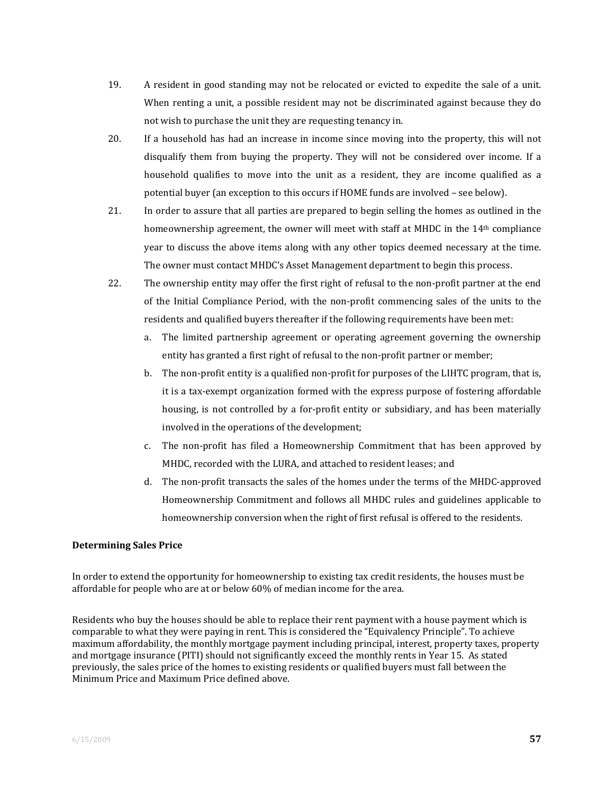- 19. A resident in good standing may not be relocated or evicted to expedite the sale of a unit. When renting a unit, a possible resident may not be discriminated against because they do not wish to purchase the unit they are requesting tenancy in.
- 20. If a household has had an increase in income since moving into the property, this will not disqualify them from buying the property. They will not be considered over income. If a household qualifies to move into the unit as a resident, they are income qualified as a potential buyer (an exception to this occurs if HOME funds are involved – see below).
- 21. In order to assure that all parties are prepared to begin selling the homes as outlined in the homeownership agreement, the owner will meet with staff at MHDC in the 14<sup>th</sup> compliance year to discuss the above items along with any other topics deemed necessary at the time. The owner must contact MHDC's Asset Management department to begin this process.
- 22. The ownership entity may offer the first right of refusal to the non-profit partner at the end of the Initial Compliance Period, with the non‐profit commencing sales of the units to the residents and qualified buyers thereafter if the following requirements have been met:
	- a. The limited partnership agreement or operating agreement governing the ownership entity has granted a first right of refusal to the non-profit partner or member;
	- b. The non‐profit entity is a qualified non‐profit for purposes of the LIHTC program, that is, it is a tax‐exempt organization formed with the express purpose of fostering affordable housing, is not controlled by a for-profit entity or subsidiary, and has been materially involved in the operations of the development;
	- c. The non‐profit has filed a Homeownership Commitment that has been approved by MHDC, recorded with the LURA, and attached to resident leases; and
	- d. The non‐profit transacts the sales of the homes under the terms of the MHDC‐approved Homeownership Commitment and follows all MHDC rules and guidelines applicable to homeownership conversion when the right of first refusal is offered to the residents.

#### **Determining Sales Price**

In order to extend the opportunity for homeownership to existing tax credit residents, the houses must be affordable for people who are at or below 60% of median income for the area.

Residents who buy the houses should be able to replace their rent payment with a house payment which is comparable to what they were paying in rent. This is considered the "Equivalency Principle". To achieve maximum affordability, the monthly mortgage payment including principal, interest, property taxes, property and mortgage insurance (PITI) should not significantly exceed the monthly rents in Year 15. As stated previously, the sales price of the homes to existing residents or qualified buyers must fall between the Minimum Price and Maximum Price defined above.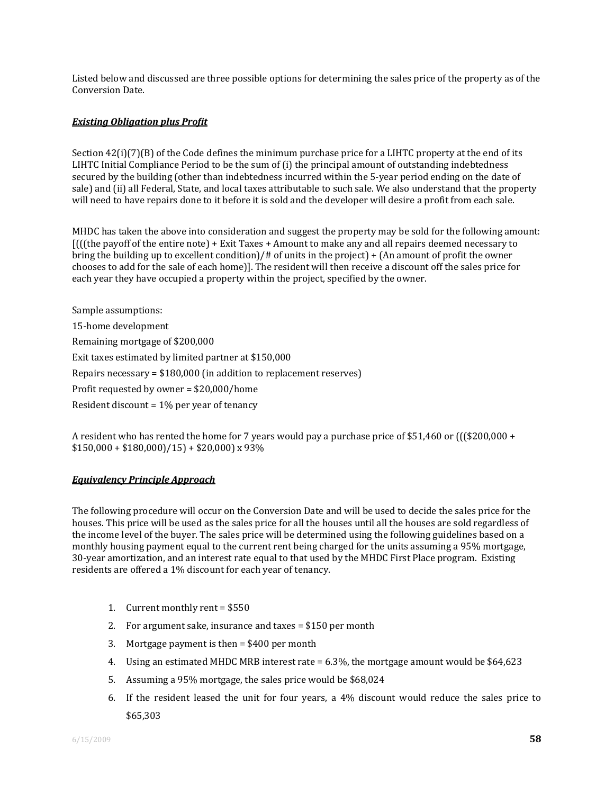Listed below and discussed are three possible options for determining the sales price of the property as of the Conversion Date.

#### *Existing Obligation plus Profit*

Section  $42(i)(7)(B)$  of the Code defines the minimum purchase price for a LIHTC property at the end of its LIHTC Initial Compliance Period to be the sum of (i) the principal amount of outstanding indebtedness secured by the building (other than indebtedness incurred within the 5‐year period ending on the date of sale) and (ii) all Federal, State, and local taxes attributable to such sale. We also understand that the property will need to have repairs done to it before it is sold and the developer will desire a profit from each sale.

MHDC has taken the above into consideration and suggest the property may be sold for the following amount:  $[$ (((the payoff of the entire note) + Exit Taxes + Amount to make any and all repairs deemed necessary to bring the building up to excellent condition)/# of units in the project) + (An amount of profit the owner chooses to add for the sale of each home)]. The resident will then receive a discount off the sales price for each year they have occupied a property within the project, specified by the owner.

Sample assumptions: 15‐home development Remaining mortgage of \$200,000 Exit taxes estimated by limited partner at \$150,000 Repairs necessary = \$180,000 (in addition to replacement reserves) Profit requested by owner = \$20,000/home Resident discount = 1% per year of tenancy

A resident who has rented the home for 7 years would pay a purchase price of \$51,460 or ( $($  (\$200,000 +  $$150,000 + $180,000)/15$  + \$20,000) x 93%

#### *Equivalency Principle Approach*

The following procedure will occur on the Conversion Date and will be used to decide the sales price for the houses. This price will be used as the sales price for all the houses until all the houses are sold regardless of the income level of the buyer. The sales price will be determined using the following guidelines based on a monthly housing payment equal to the current rent being charged for the units assuming a 95% mortgage, 30‐year amortization, and an interest rate equal to that used by the MHDC First Place program. Existing residents are offered a 1% discount for each year of tenancy.

- 1. Current monthly rent = \$550
- 2. For argument sake, insurance and taxes = \$150 per month
- 3. Mortgage payment is then = \$400 per month
- 4. Using an estimated MHDC MRB interest rate = 6.3%, the mortgage amount would be \$64,623
- 5. Assuming a 95% mortgage, the sales price would be \$68,024
- 6. If the resident leased the unit for four years, a 4% discount would reduce the sales price to \$65,303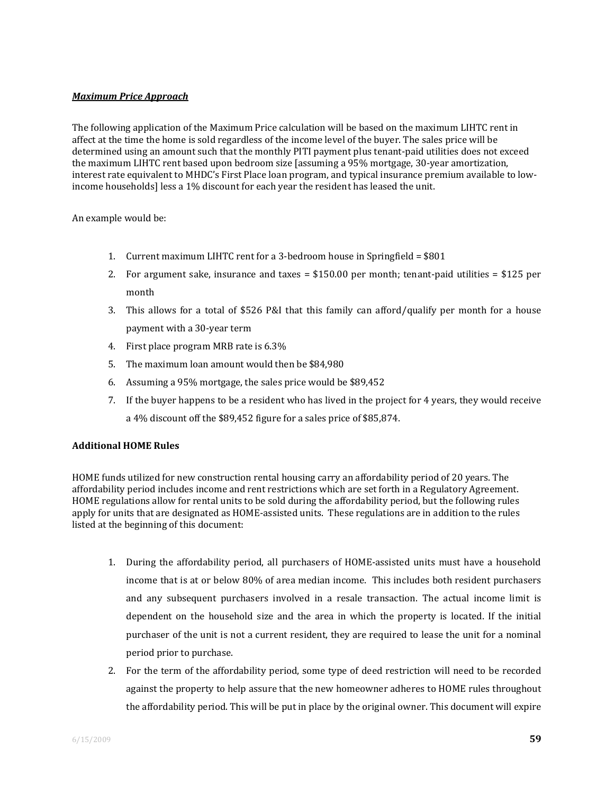#### *Maximum Price Approach*

The following application of the Maximum Price calculation will be based on the maximum LIHTC rent in affect at the time the home is sold regardless of the income level of the buyer. The sales price will be determined using an amount such that the monthly PITI payment plus tenant-paid utilities does not exceed the maximum LIHTC rent based upon bedroom size [assuming a 95% mortgage, 30‐year amortization, interest rate equivalent to MHDC's First Place loan program, and typical insurance premium available to low‐ income households] less a 1% discount for each year the resident has leased the unit.

An example would be:

- 1. Current maximum LIHTC rent for a 3-bedroom house in Springfield = \$801
- 2. For argument sake, insurance and  $taxes = $150.00$  per month; tenant-paid utilities =  $$125$  per month
- 3. This allows for a total of \$526 P&I that this family can afford/qualify per month for a house payment with a 30‐year term
- 4. First place program MRB rate is 6.3%
- 5. The maximum loan amount would then be \$84,980
- 6. Assuming a 95% mortgage, the sales price would be \$89,452
- 7. If the buyer happens to be a resident who has lived in the project for 4 years, they would receive a 4% discount off the \$89,452 figure for a sales price of \$85,874.

#### **Additional HOME Rules**

HOME funds utilized for new construction rental housing carry an affordability period of 20 years. The affordability period includes income and rent restrictions which are set forth in a Regulatory Agreement. HOME regulations allow for rental units to be sold during the affordability period, but the following rules apply for units that are designated as HOME‐assisted units. These regulations are in addition to the rules listed at the beginning of this document:

- 1. During the affordability period, all purchasers of HOME‐assisted units must have a household income that is at or below 80% of area median income. This includes both resident purchasers and any subsequent purchasers involved in a resale transaction. The actual income limit is dependent on the household size and the area in which the property is located. If the initial purchaser of the unit is not a current resident, they are required to lease the unit for a nominal period prior to purchase.
- 2. For the term of the affordability period, some type of deed restriction will need to be recorded against the property to help assure that the new homeowner adheres to HOME rules throughout the affordability period. This will be put in place by the original owner. This document will expire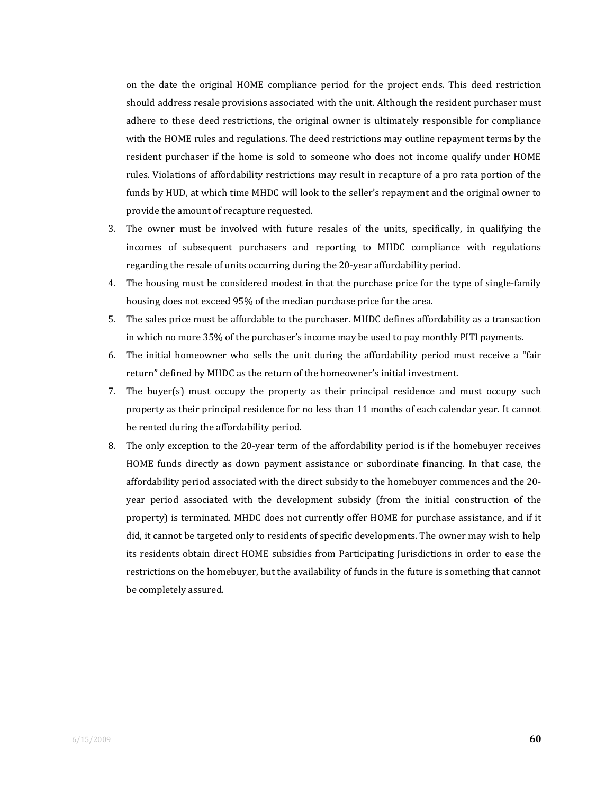on the date the original HOME compliance period for the project ends. This deed restriction should address resale provisions associated with the unit. Although the resident purchaser must adhere to these deed restrictions, the original owner is ultimately responsible for compliance with the HOME rules and regulations. The deed restrictions may outline repayment terms by the resident purchaser if the home is sold to someone who does not income qualify under HOME rules. Violations of affordability restrictions may result in recapture of a pro rata portion of the funds by HUD, at which time MHDC will look to the seller's repayment and the original owner to provide the amount of recapture requested.

- 3. The owner must be involved with future resales of the units, specifically, in qualifying the incomes of subsequent purchasers and reporting to MHDC compliance with regulations regarding the resale of units occurring during the 20‐year affordability period.
- 4. The housing must be considered modest in that the purchase price for the type of single-family housing does not exceed 95% of the median purchase price for the area.
- 5. The sales price must be affordable to the purchaser. MHDC defines affordability as a transaction in which no more 35% of the purchaser's income may be used to pay monthly PITI payments.
- 6. The initial homeowner who sells the unit during the affordability period must receive a "fair return" defined by MHDC as the return of the homeowner's initial investment.
- 7. The buyer(s) must occupy the property as their principal residence and must occupy such property as their principal residence for no less than 11 months of each calendar year. It cannot be rented during the affordability period.
- 8. The only exception to the 20-year term of the affordability period is if the homebuyer receives HOME funds directly as down payment assistance or subordinate financing. In that case, the affordability period associated with the direct subsidy to the homebuyer commences and the 20‐ year period associated with the development subsidy (from the initial construction of the property) is terminated. MHDC does not currently offer HOME for purchase assistance, and if it did, it cannot be targeted only to residents of specific developments. The owner may wish to help its residents obtain direct HOME subsidies from Participating Jurisdictions in order to ease the restrictions on the homebuyer, but the availability of funds in the future is something that cannot be completely assured.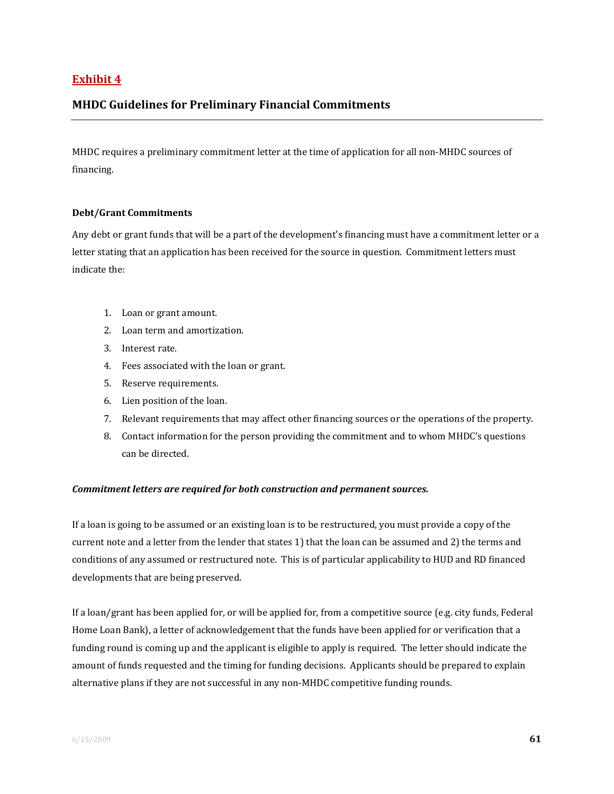## **Exhibit 4**

## **MHDC Guidelines for Preliminary Financial Commitments**

MHDC requires a preliminary commitment letter at the time of application for all non‐MHDC sources of financing.

#### **Debt/Grant Commitments**

Any debt or grant funds that will be a part of the development's financing must have a commitment letter or a letter stating that an application has been received for the source in question. Commitment letters must indicate the:

- 1. Loan or grant amount.
- 2. Loan term and amortization.
- 3. Interest rate.
- 4. Fees associated with the loan or grant.
- 5. Reserve requirements.
- 6. Lien position of the loan.
- 7. Relevant requirements that may affect other financing sources or the operations of the property.
- 8. Contact information for the person providing the commitment and to whom MHDC's questions can be directed.

#### *Commitment letters are required for both construction and permanent sources.*

If a loan is going to be assumed or an existing loan is to be restructured, you must provide a copy of the current note and a letter from the lender that states 1) that the loan can be assumed and 2) the terms and conditions of any assumed or restructured note. This is of particular applicability to HUD and RD financed developments that are being preserved.

If a loan/grant has been applied for, or will be applied for, from a competitive source (e.g. city funds, Federal Home Loan Bank), a letter of acknowledgement that the funds have been applied for or verification that a funding round is coming up and the applicant is eligible to apply is required. The letter should indicate the amount of funds requested and the timing for funding decisions. Applicants should be prepared to explain alternative plans if they are not successful in any non‐MHDC competitive funding rounds.